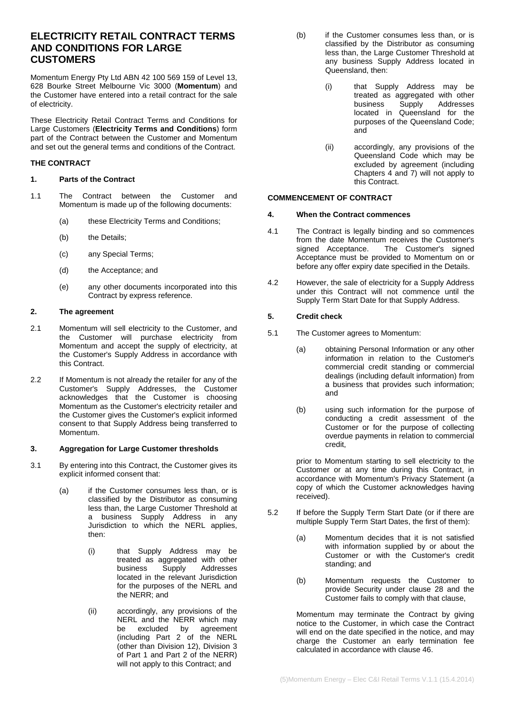# **ELECTRICITY RETAIL CONTRACT TERMS AND CONDITIONS FOR LARGE CUSTOMERS**

Momentum Energy Pty Ltd ABN 42 100 569 159 of Level 13, 628 Bourke Street Melbourne Vic 3000 (**Momentum**) and the Customer have entered into a retail contract for the sale of electricity.

These Electricity Retail Contract Terms and Conditions for Large Customers (**Electricity Terms and Conditions**) form part of the Contract between the Customer and Momentum and set out the general terms and conditions of the Contract.

## **THE CONTRACT**

## <span id="page-0-0"></span>**1. Parts of the Contract**

- 1.1 The Contract between the Customer and Momentum is made up of the following documents:
	- (a) these Electricity Terms and Conditions;
	- (b) the Details;
	- (c) any Special Terms;
	- (d) the Acceptance; and
	- (e) any other documents incorporated into this Contract by express reference.

## **2. The agreement**

- 2.1 Momentum will sell electricity to the Customer, and the Customer will purchase electricity from Momentum and accept the supply of electricity, at the Customer's Supply Address in accordance with this Contract.
- 2.2 If Momentum is not already the retailer for any of the Customer's Supply Addresses, the Customer acknowledges that the Customer is choosing Momentum as the Customer's electricity retailer and the Customer gives the Customer's explicit informed consent to that Supply Address being transferred to Momentum.

## **3. Aggregation for Large Customer thresholds**

- 3.1 By entering into this Contract, the Customer gives its explicit informed consent that:
	- (a) if the Customer consumes less than, or is classified by the Distributor as consuming less than, the Large Customer Threshold at a business Supply Address in any Jurisdiction to which the NERL applies, then:
		- (i) that Supply Address may be treated as aggregated with other business Supply Addresses located in the relevant Jurisdiction for the purposes of the NERL and the NERR; and
		- (ii) accordingly, any provisions of the NERL and the NERR which may be excluded by agreement (including Part 2 of the NERL (other than Division 12), Division 3 of Part 1 and Part 2 of the NERR) will not apply to this Contract; and
- (b) if the Customer consumes less than, or is classified by the Distributor as consuming less than, the Large Customer Threshold at any business Supply Address located in Queensland, then:
	- (i) that Supply Address may be treated as aggregated with other<br>business Supply Addresses Addresses located in Queensland for the purposes of the Queensland Code; and
	- (ii) accordingly, any provisions of the Queensland Code which may be excluded by agreement (including Chapters 4 and 7) will not apply to this Contract.

## **COMMENCEMENT OF CONTRACT**

### **4. When the Contract commences**

- 4.1 The Contract is legally binding and so commences from the date Momentum receives the Customer's<br>signed Acceptance. The Customer's signed The Customer's signed Acceptance must be provided to Momentum on or before any offer expiry date specified in the Details.
- 4.2 However, the sale of electricity for a Supply Address under this Contract will not commence until the Supply Term Start Date for that Supply Address.

## **5. Credit check**

- 5.1 The Customer agrees to Momentum:
	- (a) obtaining Personal Information or any other information in relation to the Customer's commercial credit standing or commercial dealings (including default information) from a business that provides such information; and
	- (b) using such information for the purpose of conducting a credit assessment of the Customer or for the purpose of collecting overdue payments in relation to commercial credit,

prior to Momentum starting to sell electricity to the Customer or at any time during this Contract, in accordance with Momentum's Privacy Statement (a copy of which the Customer acknowledges having received).

- 5.2 If before the Supply Term Start Date (or if there are multiple Supply Term Start Dates, the first of them):
	- (a) Momentum decides that it is not satisfied with information supplied by or about the Customer or with the Customer's credit standing; and
	- (b) Momentum requests the Customer to provide Security under clause [28](#page-8-0) and the Customer fails to comply with that clause,

Momentum may terminate the Contract by giving notice to the Customer, in which case the Contract will end on the date specified in the notice, and may charge the Customer an early termination fee calculated in accordance with clause [46.](#page-14-0)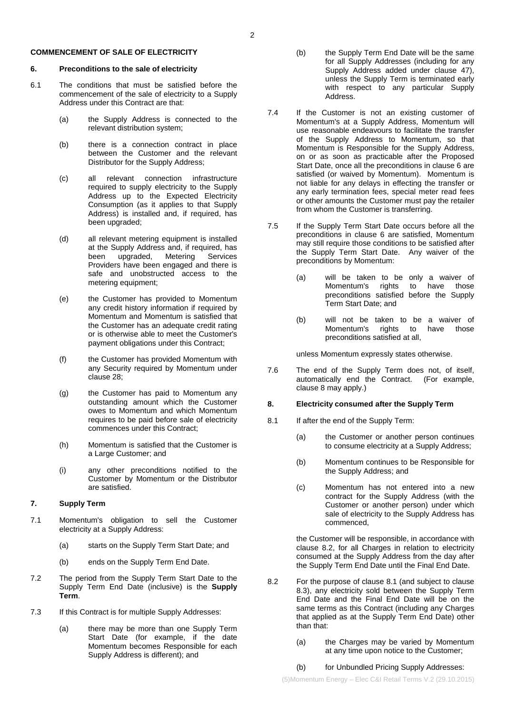### **COMMENCEMENT OF SALE OF ELECTRICITY**

#### <span id="page-1-0"></span>**6. Preconditions to the sale of electricity**

- <span id="page-1-4"></span>6.1 The conditions that must be satisfied before the commencement of the sale of electricity to a Supply Address under this Contract are that:
	- (a) the Supply Address is connected to the relevant distribution system;
	- (b) there is a connection contract in place between the Customer and the relevant Distributor for the Supply Address;
	- (c) all relevant connection infrastructure required to supply electricity to the Supply Address up to the Expected Electricity Consumption (as it applies to that Supply Address) is installed and, if required, has been upgraded;
	- (d) all relevant metering equipment is installed at the Supply Address and, if required, has upgraded, Metering Services Providers have been engaged and there is safe and unobstructed access to the metering equipment;
	- (e) the Customer has provided to Momentum any credit history information if required by Momentum and Momentum is satisfied that the Customer has an adequate credit rating or is otherwise able to meet the Customer's payment obligations under this Contract;
	- (f) the Customer has provided Momentum with any Security required by Momentum under claus[e 28;](#page-8-0)
	- (g) the Customer has paid to Momentum any outstanding amount which the Customer owes to Momentum and which Momentum requires to be paid before sale of electricity commences under this Contract;
	- (h) Momentum is satisfied that the Customer is a Large Customer; and
	- (i) any other preconditions notified to the Customer by Momentum or the Distributor are satisfied.

### **7. Supply Term**

- 7.1 Momentum's obligation to sell the Customer electricity at a Supply Address:
	- (a) starts on the Supply Term Start Date; and
	- (b) ends on the Supply Term End Date.
- <span id="page-1-5"></span>7.2 The period from the Supply Term Start Date to the Supply Term End Date (inclusive) is the **Supply Term**.
- 7.3 If this Contract is for multiple Supply Addresses:
	- (a) there may be more than one Supply Term Start Date (for example, if the date Momentum becomes Responsible for each Supply Address is different); and
- (b) the Supply Term End Date will be the same for all Supply Addresses (including for any Supply Address added under clause [47\)](#page-15-0), unless the Supply Term is terminated early with respect to any particular Supply Address.
- 7.4 If the Customer is not an existing customer of Momentum's at a Supply Address, Momentum will use reasonable endeavours to facilitate the transfer of the Supply Address to Momentum, so that Momentum is Responsible for the Supply Address, on or as soon as practicable after the Proposed Start Date, once all the preconditions in clause [6](#page-1-0) are satisfied (or waived by Momentum). Momentum is not liable for any delays in effecting the transfer or any early termination fees, special meter read fees or other amounts the Customer must pay the retailer from whom the Customer is transferring.
- 7.5 If the Supply Term Start Date occurs before all the preconditions in clause [6](#page-1-0) are satisfied, Momentum may still require those conditions to be satisfied after the Supply Term Start Date. Any waiver of the preconditions by Momentum:
	- (a) will be taken to be only a waiver of Momentum's rights to have preconditions satisfied before the Supply Term Start Date; and
	- (b) will not be taken to be a waiver of Momentum's rights to have preconditions satisfied at all,

unless Momentum expressly states otherwise.

7.6 The end of the Supply Term does not, of itself, automatically end the Contract. (For example, clause [8](#page-1-1) may apply.)

### <span id="page-1-1"></span>**8. Electricity consumed after the Supply Term**

- <span id="page-1-3"></span>8.1 If after the end of the Supply Term:
	- (a) the Customer or another person continues to consume electricity at a Supply Address;
	- (b) Momentum continues to be Responsible for the Supply Address; and
	- (c) Momentum has not entered into a new contract for the Supply Address (with the Customer or another person) under which sale of electricity to the Supply Address has commenced,

the Customer will be responsible, in accordance with clause [8.2,](#page-1-2) for all Charges in relation to electricity consumed at the Supply Address from the day after the Supply Term End Date until the Final End Date.

- <span id="page-1-2"></span>8.2 For the purpose of clause [8.1](#page-1-3) (and subject to clause [8.3\)](#page-2-0), any electricity sold between the Supply Term End Date and the Final End Date will be on the same terms as this Contract (including any Charges that applied as at the Supply Term End Date) other than that:
	- (a) the Charges may be varied by Momentum at any time upon notice to the Customer;

### (b) for Unbundled Pricing Supply Addresses: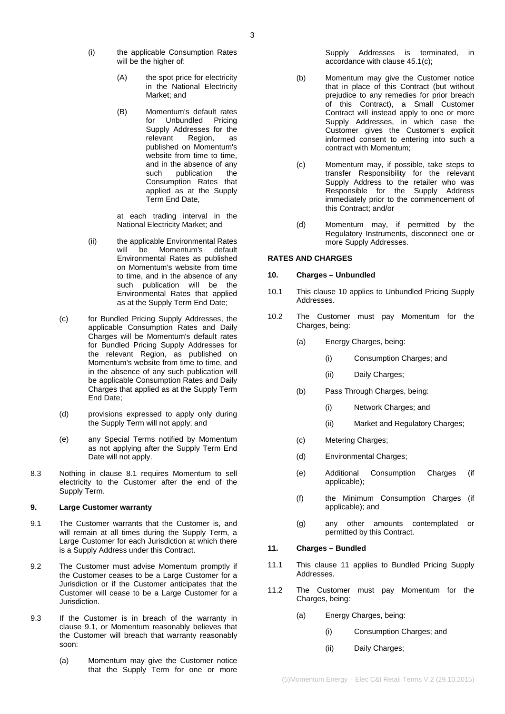- (i) the applicable Consumption Rates will be the higher of:
	- (A) the spot price for electricity in the National Electricity Market; and
	- (B) Momentum's default rates for Unbundled Pricing Supply Addresses for the<br>relevant Region, as relevant published on Momentum's website from time to time and in the absence of any<br>such publication the publication Consumption Rates that applied as at the Supply Term End Date,

at each trading interval in the National Electricity Market; and

- <span id="page-2-7"></span>(ii) the applicable Environmental Rates Momentum's Environmental Rates as published on Momentum's website from time to time, and in the absence of any such publication will be the Environmental Rates that applied as at the Supply Term End Date;
- (c) for Bundled Pricing Supply Addresses, the applicable Consumption Rates and Daily Charges will be Momentum's default rates for Bundled Pricing Supply Addresses for the relevant Region, as published on Momentum's website from time to time, and in the absence of any such publication will be applicable Consumption Rates and Daily Charges that applied as at the Supply Term End Date;
- (d) provisions expressed to apply only during the Supply Term will not apply; and
- (e) any Special Terms notified by Momentum as not applying after the Supply Term End Date will not apply.
- <span id="page-2-0"></span>8.3 Nothing in clause [8.1](#page-1-3) requires Momentum to sell electricity to the Customer after the end of the Supply Term.

### **9. Large Customer warranty**

- <span id="page-2-1"></span>9.1 The Customer warrants that the Customer is, and will remain at all times during the Supply Term, a Large Customer for each Jurisdiction at which there is a Supply Address under this Contract.
- <span id="page-2-4"></span>9.2 The Customer must advise Momentum promptly if the Customer ceases to be a Large Customer for a Jurisdiction or if the Customer anticipates that the Customer will cease to be a Large Customer for a Jurisdiction.
- 9.3 If the Customer is in breach of the warranty in clause [9.1,](#page-2-1) or Momentum reasonably believes that the Customer will breach that warranty reasonably soon:
	- (a) Momentum may give the Customer notice that the Supply Term for one or more

Supply Addresses is terminated, in accordance with clause [45.1\(c\);](#page-13-0)

- (b) Momentum may give the Customer notice that in place of this Contract (but without prejudice to any remedies for prior breach of this Contract), a Small Customer Contract will instead apply to one or more Supply Addresses, in which case the Customer gives the Customer's explicit informed consent to entering into such a contract with Momentum;
- (c) Momentum may, if possible, take steps to transfer Responsibility for the relevant Supply Address to the retailer who was Responsible for the Supply Address immediately prior to the commencement of this Contract; and/or
- (d) Momentum may, if permitted by the Regulatory Instruments, disconnect one or more Supply Addresses.

## **RATES AND CHARGES**

## <span id="page-2-2"></span>**10. Charges – Unbundled**

- 10.1 This clause [10](#page-2-2) applies to Unbundled Pricing Supply Addresses.
- <span id="page-2-10"></span><span id="page-2-8"></span><span id="page-2-5"></span>10.2 The Customer must pay Momentum for the Charges, being:
	- (a) Energy Charges, being:
		- (i) Consumption Charges; and
		- (ii) Daily Charges;
	- (b) Pass Through Charges, being:
		- (i) Network Charges; and
		- (ii) Market and Regulatory Charges;
	- (c) Metering Charges;
	- (d) Environmental Charges;
	- (e) Additional Consumption Charges (if applicable);
	- (f) the Minimum Consumption Charges (if applicable); and
	- (g) any other amounts contemplated or permitted by this Contract.

## <span id="page-2-3"></span>**11. Charges – Bundled**

- 11.1 This clause [11](#page-2-3) applies to Bundled Pricing Supply Addresses.
- <span id="page-2-9"></span><span id="page-2-6"></span>11.2 The Customer must pay Momentum for the Charges, being:
	- (a) Energy Charges, being:
		- (i) Consumption Charges; and
		- (ii) Daily Charges;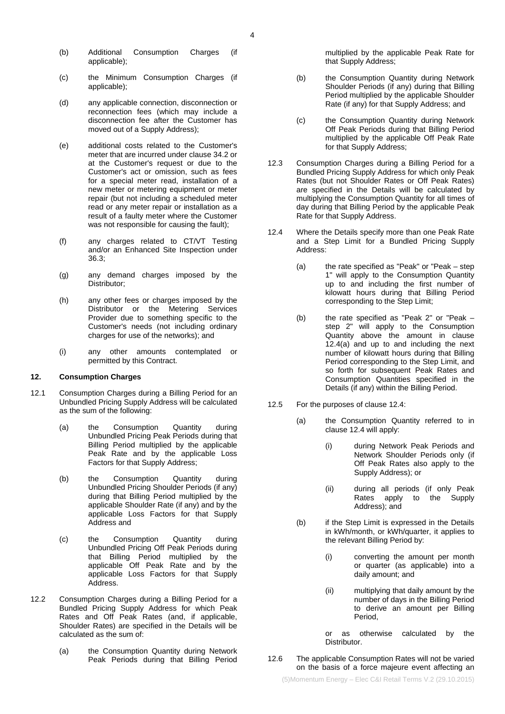- (b) Additional Consumption Charges (if applicable);
- (c) the Minimum Consumption Charges (if applicable);
- (d) any applicable connection, disconnection or reconnection fees (which may include a disconnection fee after the Customer has moved out of a Supply Address);
- (e) additional costs related to the Customer's meter that are incurred under claus[e 34.2](#page-11-0) or at the Customer's request or due to the Customer's act or omission, such as fees for a special meter read, installation of a new meter or metering equipment or meter repair (but not including a scheduled meter read or any meter repair or installation as a result of a faulty meter where the Customer was not responsible for causing the fault);
- (f) any charges related to CT/VT Testing and/or an Enhanced Site Inspection under [36.3;](#page-11-1)
- (g) any demand charges imposed by the Distributor;
- (h) any other fees or charges imposed by the Distributor or the Metering Services Provider due to something specific to the Customer's needs (not including ordinary charges for use of the networks); and
- (i) any other amounts contemplated or permitted by this Contract.

## <span id="page-3-2"></span>**12. Consumption Charges**

- 12.1 Consumption Charges during a Billing Period for an Unbundled Pricing Supply Address will be calculated as the sum of the following:
	- (a) the Consumption Quantity during Unbundled Pricing Peak Periods during that Billing Period multiplied by the applicable Peak Rate and by the applicable Loss Factors for that Supply Address;
	- (b) the Consumption Quantity during Unbundled Pricing Shoulder Periods (if any) during that Billing Period multiplied by the applicable Shoulder Rate (if any) and by the applicable Loss Factors for that Supply Address and
	- (c) the Consumption Quantity during Unbundled Pricing Off Peak Periods during that Billing Period multiplied by the applicable Off Peak Rate and by the applicable Loss Factors for that Supply Address.
- 12.2 Consumption Charges during a Billing Period for a Bundled Pricing Supply Address for which Peak Rates and Off Peak Rates (and, if applicable, Shoulder Rates) are specified in the Details will be calculated as the sum of:
	- (a) the Consumption Quantity during Network Peak Periods during that Billing Period

multiplied by the applicable Peak Rate for that Supply Address;

- (b) the Consumption Quantity during Network Shoulder Periods (if any) during that Billing Period multiplied by the applicable Shoulder Rate (if any) for that Supply Address; and
- (c) the Consumption Quantity during Network Off Peak Periods during that Billing Period multiplied by the applicable Off Peak Rate for that Supply Address;
- 12.3 Consumption Charges during a Billing Period for a Bundled Pricing Supply Address for which only Peak Rates (but not Shoulder Rates or Off Peak Rates) are specified in the Details will be calculated by multiplying the Consumption Quantity for all times of day during that Billing Period by the applicable Peak Rate for that Supply Address.
- <span id="page-3-1"></span><span id="page-3-0"></span>12.4 Where the Details specify more than one Peak Rate and a Step Limit for a Bundled Pricing Supply Address:
	- (a) the rate specified as "Peak" or "Peak step 1" will apply to the Consumption Quantity up to and including the first number of kilowatt hours during that Billing Period corresponding to the Step Limit;
	- (b) the rate specified as "Peak 2" or "Peak step 2" will apply to the Consumption Quantity above the amount in clause [12.4\(a\)](#page-3-0) and up to and including the next number of kilowatt hours during that Billing Period corresponding to the Step Limit, and so forth for subsequent Peak Rates and Consumption Quantities specified in the Details (if any) within the Billing Period.
- 12.5 For the purposes of claus[e 12.4:](#page-3-1)
	- (a) the Consumption Quantity referred to in clause [12.4](#page-3-1) will apply:
		- (i) during Network Peak Periods and Network Shoulder Periods only (if Off Peak Rates also apply to the Supply Address); or
		- (ii) during all periods (if only Peak Rates apply to Address); and
	- (b) if the Step Limit is expressed in the Details in kWh/month, or kWh/quarter, it applies to the relevant Billing Period by:
		- (i) converting the amount per month or quarter (as applicable) into a daily amount; and
		- (ii) multiplying that daily amount by the number of days in the Billing Period to derive an amount per Billing Period,

or as otherwise calculated by the Distributor.

12.6 The applicable Consumption Rates will not be varied on the basis of a force majeure event affecting an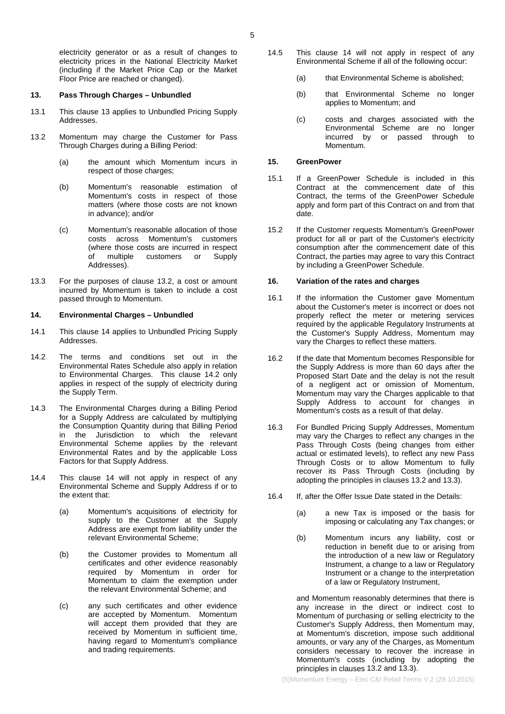electricity generator or as a result of changes to electricity prices in the National Electricity Market (including if the Market Price Cap or the Market Floor Price are reached or changed).

#### <span id="page-4-0"></span>**13. Pass Through Charges – Unbundled**

- 13.1 This clause [13](#page-4-0) applies to Unbundled Pricing Supply Addresses.
- <span id="page-4-1"></span>13.2 Momentum may charge the Customer for Pass Through Charges during a Billing Period:
	- (a) the amount which Momentum incurs in respect of those charges;
	- (b) Momentum's reasonable estimation of Momentum's costs in respect of those matters (where those costs are not known in advance); and/or
	- (c) Momentum's reasonable allocation of those costs across Momentum's customers (where those costs are incurred in respect<br>of multiple customers or Supply of multiple customers or Addresses).
- 13.3 For the purposes of clause [13.2,](#page-4-1) a cost or amount incurred by Momentum is taken to include a cost passed through to Momentum.

### <span id="page-4-2"></span>**14. Environmental Charges – Unbundled**

- 14.1 This clause [14](#page-4-2) applies to Unbundled Pricing Supply Addresses.
- <span id="page-4-3"></span>14.2 The terms and conditions set out in the Environmental Rates Schedule also apply in relation to Environmental Charges. This clause [14.2](#page-4-3) only applies in respect of the supply of electricity during the Supply Term.
- 14.3 The Environmental Charges during a Billing Period for a Supply Address are calculated by multiplying the Consumption Quantity during that Billing Period in the Jurisdiction to which the relevant Environmental Scheme applies by the relevant Environmental Rates and by the applicable Loss Factors for that Supply Address.
- <span id="page-4-6"></span>14.4 This clause [14](#page-4-2) will not apply in respect of any Environmental Scheme and Supply Address if or to the extent that:
	- (a) Momentum's acquisitions of electricity for supply to the Customer at the Supply Address are exempt from liability under the relevant Environmental Scheme;
	- (b) the Customer provides to Momentum all certificates and other evidence reasonably required by Momentum in order for Momentum to claim the exemption under the relevant Environmental Scheme; and
	- (c) any such certificates and other evidence are accepted by Momentum. Momentum will accept them provided that they are received by Momentum in sufficient time, having regard to Momentum's compliance and trading requirements.
- 14.5 This clause [14](#page-4-2) will not apply in respect of any Environmental Scheme if all of the following occur:
	- (a) that Environmental Scheme is abolished;
	- (b) that Environmental Scheme no longer applies to Momentum; and
	- (c) costs and charges associated with the Environmental Scheme are no longer incurred by or passed through to Momentum.

### **15. GreenPower**

- 15.1 If a GreenPower Schedule is included in this Contract at the commencement date of this Contract, the terms of the GreenPower Schedule apply and form part of this Contract on and from that date.
- 15.2 If the Customer requests Momentum's GreenPower product for all or part of the Customer's electricity consumption after the commencement date of this Contract, the parties may agree to vary this Contract by including a GreenPower Schedule.

### <span id="page-4-5"></span>**16. Variation of the rates and charges**

- <span id="page-4-4"></span>16.1 If the information the Customer gave Momentum about the Customer's meter is incorrect or does not properly reflect the meter or metering services required by the applicable Regulatory Instruments at the Customer's Supply Address, Momentum may vary the Charges to reflect these matters.
- 16.2 If the date that Momentum becomes Responsible for the Supply Address is more than 60 days after the Proposed Start Date and the delay is not the result of a negligent act or omission of Momentum, Momentum may vary the Charges applicable to that Supply Address to account for changes in Momentum's costs as a result of that delay.
- 16.3 For Bundled Pricing Supply Addresses, Momentum may vary the Charges to reflect any changes in the Pass Through Costs (being changes from either actual or estimated levels), to reflect any new Pass Through Costs or to allow Momentum to fully recover its Pass Through Costs (including by adopting the principles in clause[s 13.2](#page-4-1) and [13.3\)](#page-4-4).
- 16.4 If, after the Offer Issue Date stated in the Details:
	- (a) a new Tax is imposed or the basis for imposing or calculating any Tax changes; or
	- (b) Momentum incurs any liability, cost or reduction in benefit due to or arising from the introduction of a new law or Regulatory Instrument, a change to a law or Regulatory Instrument or a change to the interpretation of a law or Regulatory Instrument,

and Momentum reasonably determines that there is any increase in the direct or indirect cost to Momentum of purchasing or selling electricity to the Customer's Supply Address, then Momentum may, at Momentum's discretion, impose such additional amounts, or vary any of the Charges, as Momentum considers necessary to recover the increase in Momentum's costs (including by adopting the principles in clauses [13.2](#page-4-1) and [13.3\)](#page-4-4).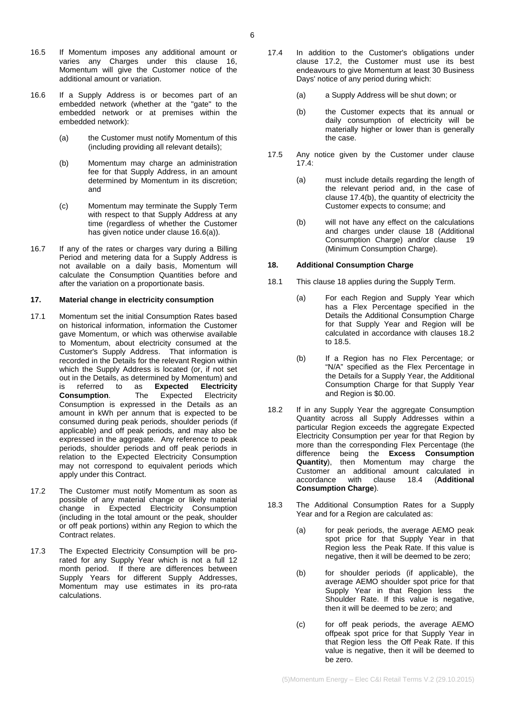- 16.5 If Momentum imposes any additional amount or varies any Charges under this clause [16,](#page-4-5) Momentum will give the Customer notice of the additional amount or variation.
- <span id="page-5-0"></span>16.6 If a Supply Address is or becomes part of an embedded network (whether at the "gate" to the embedded network or at premises within the embedded network):
	- (a) the Customer must notify Momentum of this (including providing all relevant details);
	- (b) Momentum may charge an administration fee for that Supply Address, in an amount determined by Momentum in its discretion; and
	- (c) Momentum may terminate the Supply Term with respect to that Supply Address at any time (regardless of whether the Customer has given notice under claus[e 16.6\(a\)\)](#page-5-0).
- 16.7 If any of the rates or charges vary during a Billing Period and metering data for a Supply Address is not available on a daily basis, Momentum will calculate the Consumption Quantities before and after the variation on a proportionate basis.

#### **17. Material change in electricity consumption**

- <span id="page-5-8"></span>17.1 Momentum set the initial Consumption Rates based on historical information, information the Customer gave Momentum, or which was otherwise available to Momentum, about electricity consumed at the Customer's Supply Address. That information is recorded in the Details for the relevant Region within which the Supply Address is located (or, if not set out in the Details, as determined by Momentum) and<br>is referred to as **Expected Electricity** is referred to as **Expected Electricity Consumption**. The Expected Electricity Consumption is expressed in the Details as an amount in kWh per annum that is expected to be consumed during peak periods, shoulder periods (if applicable) and off peak periods, and may also be expressed in the aggregate. Any reference to peak periods, shoulder periods and off peak periods in relation to the Expected Electricity Consumption may not correspond to equivalent periods which apply under this Contract.
- <span id="page-5-1"></span>17.2 The Customer must notify Momentum as soon as possible of any material change or likely material change in Expected Electricity Consumption (including in the total amount or the peak, shoulder or off peak portions) within any Region to which the Contract relates.
- 17.3 The Expected Electricity Consumption will be prorated for any Supply Year which is not a full 12 month period. If there are differences between Supply Years for different Supply Addresses, Momentum may use estimates in its pro-rata calculations.
- <span id="page-5-2"></span>17.4 In addition to the Customer's obligations under clause [17.2,](#page-5-1) the Customer must use its best endeavours to give Momentum at least 30 Business Days' notice of any period during which:
	- (a) a Supply Address will be shut down; or
	- (b) the Customer expects that its annual or daily consumption of electricity will be materially higher or lower than is generally the case.
- <span id="page-5-3"></span>17.5 Any notice given by the Customer under clause [17.4:](#page-5-2)
	- (a) must include details regarding the length of the relevant period and, in the case of clause [17.4\(b\),](#page-5-3) the quantity of electricity the Customer expects to consume; and
	- (b) will not have any effect on the calculations and charges under clause [18](#page-5-4) (Additional Consumption Charge) and/or clause [19](#page-6-0) (Minimum Consumption Charge).

### <span id="page-5-4"></span>**18. Additional Consumption Charge**

- <span id="page-5-7"></span>18.1 This claus[e 18](#page-5-4) applies during the Supply Term.
	- (a) For each Region and Supply Year which has a Flex Percentage specified in the Details the Additional Consumption Charge for that Supply Year and Region will be calculated in accordance with clauses [18.2](#page-5-5) t[o 18.5.](#page-6-1)
	- (b) If a Region has no Flex Percentage; or "N/A" specified as the Flex Percentage in the Details for a Supply Year, the Additional Consumption Charge for that Supply Year and Region is \$0.00.
- <span id="page-5-5"></span>18.2 If in any Supply Year the aggregate Consumption Quantity across all Supply Addresses within a particular Region exceeds the aggregate Expected Electricity Consumption per year for that Region by more than the corresponding Flex Percentage (the difference being the **Excess Consumption Quantity**), then Momentum may charge the Customer an additional amount calculated in accordance with clause 18.4 (Additional accordance with clause [18.4](#page-6-2) **Consumption Charge**).
- <span id="page-5-6"></span>18.3 The Additional Consumption Rates for a Supply Year and for a Region are calculated as:
	- (a) for peak periods, the average AEMO peak spot price for that Supply Year in that Region less the Peak Rate. If this value is negative, then it will be deemed to be zero;
	- (b) for shoulder periods (if applicable), the average AEMO shoulder spot price for that Supply Year in that Region less the Shoulder Rate. If this value is negative, then it will be deemed to be zero; and
	- (c) for off peak periods, the average AEMO offpeak spot price for that Supply Year in that Region less the Off Peak Rate. If this value is negative, then it will be deemed to be zero.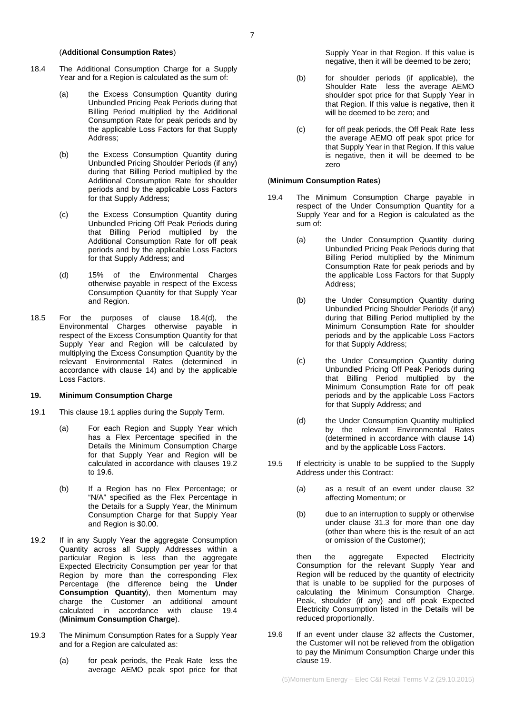#### (**Additional Consumption Rates**)

- <span id="page-6-2"></span>18.4 The Additional Consumption Charge for a Supply Year and for a Region is calculated as the sum of:
	- (a) the Excess Consumption Quantity during Unbundled Pricing Peak Periods during that Billing Period multiplied by the Additional Consumption Rate for peak periods and by the applicable Loss Factors for that Supply Address;
	- (b) the Excess Consumption Quantity during Unbundled Pricing Shoulder Periods (if any) during that Billing Period multiplied by the Additional Consumption Rate for shoulder periods and by the applicable Loss Factors for that Supply Address;
	- (c) the Excess Consumption Quantity during Unbundled Pricing Off Peak Periods during that Billing Period multiplied by the Additional Consumption Rate for off peak periods and by the applicable Loss Factors for that Supply Address; and
	- (d) 15% of the Environmental Charges otherwise payable in respect of the Excess Consumption Quantity for that Supply Year and Region.
- <span id="page-6-3"></span><span id="page-6-1"></span>18.5 For the purposes of clause [18.4\(d\),](#page-6-3) the Environmental Charges otherwise payable in respect of the Excess Consumption Quantity for that Supply Year and Region will be calculated by multiplying the Excess Consumption Quantity by the relevant Environmental Rates (determined in accordance with clause [14\)](#page-4-2) and by the applicable Loss Factors.

## <span id="page-6-0"></span>**19. Minimum Consumption Charge**

- <span id="page-6-4"></span>19.1 This clause [19.1](#page-6-4) applies during the Supply Term.
	- (a) For each Region and Supply Year which has a Flex Percentage specified in the Details the Minimum Consumption Charge for that Supply Year and Region will be calculated in accordance with clauses [19.2](#page-6-5) to [19.6.](#page-6-6)
	- (b) If a Region has no Flex Percentage; or "N/A" specified as the Flex Percentage in the Details for a Supply Year, the Minimum Consumption Charge for that Supply Year and Region is \$0.00.
- <span id="page-6-5"></span>19.2 If in any Supply Year the aggregate Consumption Quantity across all Supply Addresses within a particular Region is less than the aggregate Expected Electricity Consumption per year for that Region by more than the corresponding Flex Percentage (the difference being the **Under Consumption Quantity**), then Momentum may charge the Customer an additional amount calculated in accordance with clause [19.4](#page-6-7) (**Minimum Consumption Charge**).
- <span id="page-6-8"></span>19.3 The Minimum Consumption Rates for a Supply Year and for a Region are calculated as:
	- (a) for peak periods, the Peak Rate less the average AEMO peak spot price for that

Supply Year in that Region. If this value is negative, then it will be deemed to be zero;

- (b) for shoulder periods (if applicable), the Shoulder Rate less the average AEMO shoulder spot price for that Supply Year in that Region. If this value is negative, then it will be deemed to be zero; and
- (c) for off peak periods, the Off Peak Rate less the average AEMO off peak spot price for that Supply Year in that Region. If this value is negative, then it will be deemed to be zero

#### (**Minimum Consumption Rates**)

- <span id="page-6-7"></span>19.4 The Minimum Consumption Charge payable in respect of the Under Consumption Quantity for a Supply Year and for a Region is calculated as the sum of:
	- (a) the Under Consumption Quantity during Unbundled Pricing Peak Periods during that Billing Period multiplied by the Minimum Consumption Rate for peak periods and by the applicable Loss Factors for that Supply Address;
	- (b) the Under Consumption Quantity during Unbundled Pricing Shoulder Periods (if any) during that Billing Period multiplied by the Minimum Consumption Rate for shoulder periods and by the applicable Loss Factors for that Supply Address;
	- (c) the Under Consumption Quantity during Unbundled Pricing Off Peak Periods during that Billing Period multiplied by the Minimum Consumption Rate for off peak periods and by the applicable Loss Factors for that Supply Address; and
	- (d) the Under Consumption Quantity multiplied by the relevant Environmental Rates (determined in accordance with clause 14) and by the applicable Loss Factors.
- <span id="page-6-10"></span><span id="page-6-9"></span>19.5 If electricity is unable to be supplied to the Supply Address under this Contract:
	- (a) as a result of an event under clause [32](#page-9-0) affecting Momentum; or
	- (b) due to an interruption to supply or otherwise under clause [31.3](#page-9-1) for more than one day (other than where this is the result of an act or omission of the Customer);

then the aggregate Expected Electricity Consumption for the relevant Supply Year and Region will be reduced by the quantity of electricity that is unable to be supplied for the purposes of calculating the Minimum Consumption Charge. Peak, shoulder (if any) and off peak Expected Electricity Consumption listed in the Details will be reduced proportionally.

<span id="page-6-6"></span>19.6 If an event under clause [32](#page-9-0) affects the Customer, the Customer will not be relieved from the obligation to pay the Minimum Consumption Charge under this clause [19.](#page-6-0)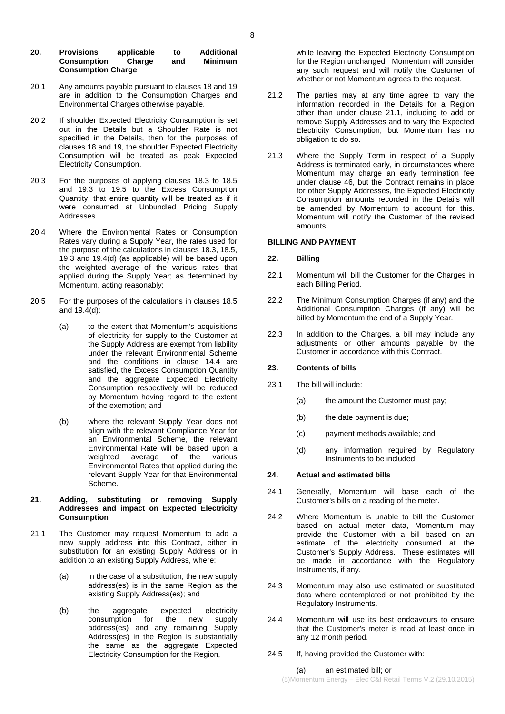#### **20. Provisions applicable to Additional Consumption Consumption Charge**

- 20.1 Any amounts payable pursuant to clause[s 18](#page-5-4) an[d 19](#page-6-0) are in addition to the Consumption Charges and Environmental Charges otherwise payable.
- 20.2 If shoulder Expected Electricity Consumption is set out in the Details but a Shoulder Rate is not specified in the Details, then for the purposes of clauses [18](#page-5-4) and [19,](#page-6-0) the shoulder Expected Electricity Consumption will be treated as peak Expected Electricity Consumption.
- 20.3 For the purposes of applying clauses [18.3](#page-5-6) to [18.5](#page-6-1) and [19.3](#page-6-8) to [19.5](#page-6-9) to the Excess Consumption Quantity, that entire quantity will be treated as if it were consumed at Unbundled Pricing Supply Addresses.
- 20.4 Where the Environmental Rates or Consumption Rates vary during a Supply Year, the rates used for the purpose of the calculations in clauses [18.3,](#page-5-6) [18.5,](#page-6-1) [19.3](#page-6-8) and [19.4\(d\)](#page-6-10) (as applicable) will be based upon the weighted average of the various rates that applied during the Supply Year; as determined by Momentum, acting reasonably;
- 20.5 For the purposes of the calculations in clauses [18.5](#page-6-1) and [19.4\(d\):](#page-6-10)
	- (a) to the extent that Momentum's acquisitions of electricity for supply to the Customer at the Supply Address are exempt from liability under the relevant Environmental Scheme and the conditions in clause [14.4](#page-4-6) are satisfied, the Excess Consumption Quantity and the aggregate Expected Electricity Consumption respectively will be reduced by Momentum having regard to the extent of the exemption; and
	- (b) where the relevant Supply Year does not align with the relevant Compliance Year for an Environmental Scheme, the relevant Environmental Rate will be based upon a weighted average of the various Environmental Rates that applied during the relevant Supply Year for that Environmental Scheme.

### <span id="page-7-2"></span>**21. Adding, substituting or removing Supply Addresses and impact on Expected Electricity Consumption**

- <span id="page-7-0"></span>21.1 The Customer may request Momentum to add a new supply address into this Contract, either in substitution for an existing Supply Address or in addition to an existing Supply Address, where:
	- (a) in the case of a substitution, the new supply address(es) is in the same Region as the existing Supply Address(es); and
	- (b) the aggregate expected electricity<br>consumption for the new supply consumption address(es) and any remaining Supply Address(es) in the Region is substantially the same as the aggregate Expected Electricity Consumption for the Region,

while leaving the Expected Electricity Consumption for the Region unchanged. Momentum will consider any such request and will notify the Customer of whether or not Momentum agrees to the request.

- 21.2 The parties may at any time agree to vary the information recorded in the Details for a Region other than under clause [21.1,](#page-7-0) including to add or remove Supply Addresses and to vary the Expected Electricity Consumption, but Momentum has no obligation to do so.
- 21.3 Where the Supply Term in respect of a Supply Address is terminated early, in circumstances where Momentum may charge an early termination fee under clause [46,](#page-14-0) but the Contract remains in place for other Supply Addresses, the Expected Electricity Consumption amounts recorded in the Details will be amended by Momentum to account for this. Momentum will notify the Customer of the revised amounts.

### **BILLING AND PAYMENT**

## <span id="page-7-1"></span>**22. Billing**

- 22.1 Momentum will bill the Customer for the Charges in each Billing Period.
- 22.2 The Minimum Consumption Charges (if any) and the Additional Consumption Charges (if any) will be billed by Momentum the end of a Supply Year.
- 22.3 In addition to the Charges, a bill may include any adjustments or other amounts payable by the Customer in accordance with this Contract.

## **23. Contents of bills**

- 23.1 The bill will include:
	- (a) the amount the Customer must pay;
	- (b) the date payment is due;
	- (c) payment methods available; and
	- (d) any information required by Regulatory Instruments to be included.

## <span id="page-7-3"></span>**24. Actual and estimated bills**

- 24.1 Generally, Momentum will base each of the Customer's bills on a reading of the meter.
- 24.2 Where Momentum is unable to bill the Customer based on actual meter data, Momentum may provide the Customer with a bill based on an estimate of the electricity consumed at the Customer's Supply Address. These estimates will be made in accordance with the Regulatory Instruments, if any.
- 24.3 Momentum may also use estimated or substituted data where contemplated or not prohibited by the Regulatory Instruments.
- 24.4 Momentum will use its best endeavours to ensure that the Customer's meter is read at least once in any 12 month period.
- 24.5 If, having provided the Customer with:

### (a) an estimated bill; or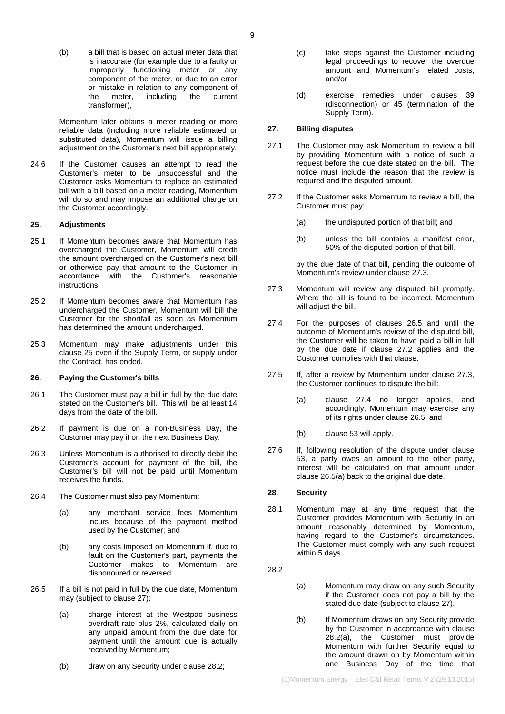(b) a bill that is based on actual meter data that is inaccurate (for example due to a faulty or improperly functioning meter or any component of the meter, or due to an error or mistake in relation to any component of<br>the meter, including the current the current transformer),

Momentum later obtains a meter reading or more reliable data (including more reliable estimated or substituted data), Momentum will issue a billing adjustment on the Customer's next bill appropriately.

24.6 If the Customer causes an attempt to read the Customer's meter to be unsuccessful and the Customer asks Momentum to replace an estimated bill with a bill based on a meter reading, Momentum will do so and may impose an additional charge on the Customer accordingly.

#### <span id="page-8-1"></span>**25. Adjustments**

- 25.1 If Momentum becomes aware that Momentum has overcharged the Customer, Momentum will credit the amount overcharged on the Customer's next bill or otherwise pay that amount to the Customer in accordance with the Customer's reasonable instructions.
- 25.2 If Momentum becomes aware that Momentum has undercharged the Customer, Momentum will bill the Customer for the shortfall as soon as Momentum has determined the amount undercharged.
- 25.3 Momentum may make adjustments under this clause [25](#page-8-1) even if the Supply Term, or supply under the Contract, has ended.

#### **26. Paying the Customer's bills**

- 26.1 The Customer must pay a bill in full by the due date stated on the Customer's bill. This will be at least 14 days from the date of the bill.
- 26.2 If payment is due on a non-Business Day, the Customer may pay it on the next Business Day.
- 26.3 Unless Momentum is authorised to directly debit the Customer's account for payment of the bill, the Customer's bill will not be paid until Momentum receives the funds.
- 26.4 The Customer must also pay Momentum:
	- (a) any merchant service fees Momentum incurs because of the payment method used by the Customer; and
	- (b) any costs imposed on Momentum if, due to fault on the Customer's part, payments the Customer makes to Momentum are dishonoured or reversed.
- <span id="page-8-8"></span><span id="page-8-5"></span>26.5 If a bill is not paid in full by the due date, Momentum may (subject to clause [27\)](#page-8-2):
	- (a) charge interest at the Westpac business overdraft rate plus 2%, calculated daily on any unpaid amount from the due date for payment until the amount due is actually received by Momentum;
	- (b) draw on any Security under claus[e 28.2;](#page-8-3)
- (c) take steps against the Customer including legal proceedings to recover the overdue amount and Momentum's related costs; and/or
- (d) exercise remedies under clauses [39](#page-12-0) (disconnection) or [45](#page-13-1) (termination of the Supply Term).

## <span id="page-8-2"></span>**27. Billing disputes**

- 27.1 The Customer may ask Momentum to review a bill by providing Momentum with a notice of such a request before the due date stated on the bill. The notice must include the reason that the review is required and the disputed amount.
- <span id="page-8-6"></span>27.2 If the Customer asks Momentum to review a bill, the Customer must pay:
	- (a) the undisputed portion of that bill; and
	- (b) unless the bill contains a manifest error, 50% of the disputed portion of that bill,

by the due date of that bill, pending the outcome of Momentum's review under clause [27.3.](#page-8-4)

- <span id="page-8-4"></span>27.3 Momentum will review any disputed bill promptly. Where the bill is found to be incorrect, Momentum will adjust the bill.
- <span id="page-8-7"></span>27.4 For the purposes of clauses [26.5](#page-8-5) and until the outcome of Momentum's review of the disputed bill, the Customer will be taken to have paid a bill in full by the due date if clause [27.2](#page-8-6) applies and the Customer complies with that clause.
- 27.5 If, after a review by Momentum under clause [27.3,](#page-8-4) the Customer continues to dispute the bill:
	- (a) clause [27.4](#page-8-7) no longer applies, and accordingly, Momentum may exercise any of its rights under clause [26.5;](#page-8-5) and
	- (b) clause [53](#page-16-0) will apply.
- 27.6 If, following resolution of the dispute under clause [53,](#page-16-0) a party owes an amount to the other party, interest will be calculated on that amount under clause [26.5\(a\)](#page-8-8) back to the original due date.

### <span id="page-8-0"></span>**28. Security**

- 28.1 Momentum may at any time request that the Customer provides Momentum with Security in an amount reasonably determined by Momentum, having regard to the Customer's circumstances. The Customer must comply with any such request within 5 days.
- <span id="page-8-9"></span><span id="page-8-3"></span>28.2
- (a) Momentum may draw on any such Security if the Customer does not pay a bill by the stated due date (subject to claus[e 27\)](#page-8-2).
- (b) If Momentum draws on any Security provide by the Customer in accordance with clause [28.2\(a\),](#page-8-9) the Customer must provide Momentum with further Security equal to the amount drawn on by Momentum within one Business Day of the time that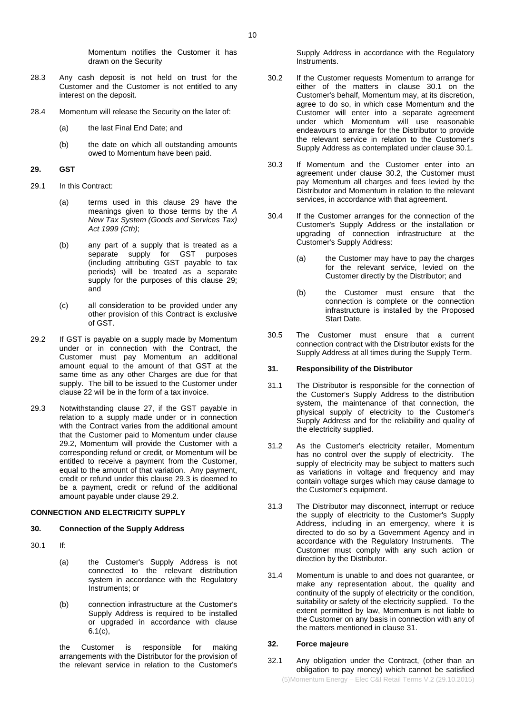Momentum notifies the Customer it has drawn on the Security

- 28.3 Any cash deposit is not held on trust for the Customer and the Customer is not entitled to any interest on the deposit.
- 28.4 Momentum will release the Security on the later of:
	- (a) the last Final End Date; and
	- (b) the date on which all outstanding amounts owed to Momentum have been paid.

#### <span id="page-9-2"></span>**29. GST**

- 29.1 In this Contract:
	- (a) terms used in this clause [29](#page-9-2) have the meanings given to those terms by the *A New Tax System (Goods and Services Tax) Act 1999 (Cth)*;
	- (b) any part of a supply that is treated as a separate supply for GST purposes (including attributing GST payable to tax periods) will be treated as a separate supply for the purposes of this clause [29;](#page-9-2) and
	- (c) all consideration to be provided under any other provision of this Contract is exclusive of GST.
- <span id="page-9-3"></span>29.2 If GST is payable on a supply made by Momentum under or in connection with the Contract, the Customer must pay Momentum an additional amount equal to the amount of that GST at the same time as any other Charges are due for that supply. The bill to be issued to the Customer under claus[e 22](#page-7-1) will be in the form of a tax invoice.
- <span id="page-9-4"></span>29.3 Notwithstanding clause [27,](#page-8-2) if the GST payable in relation to a supply made under or in connection with the Contract varies from the additional amount that the Customer paid to Momentum under clause [29.2,](#page-9-3) Momentum will provide the Customer with a corresponding refund or credit, or Momentum will be entitled to receive a payment from the Customer, equal to the amount of that variation. Any payment, credit or refund under this clause [29.3](#page-9-4) is deemed to be a payment, credit or refund of the additional amount payable under claus[e 29.2.](#page-9-3)

### **CONNECTION AND ELECTRICITY SUPPLY**

### **30. Connection of the Supply Address**

- <span id="page-9-5"></span>30.1 If:
	- (a) the Customer's Supply Address is not connected to the relevant distribution system in accordance with the Regulatory Instruments; or
	- (b) connection infrastructure at the Customer's Supply Address is required to be installed or upgraded in accordance with clause [6.1\(c\),](#page-1-4)

the Customer is responsible for making arrangements with the Distributor for the provision of the relevant service in relation to the Customer's <span id="page-9-6"></span>Supply Address in accordance with the Regulatory Instruments.

- 30.2 If the Customer requests Momentum to arrange for either of the matters in clause [30.1](#page-9-5) on the Customer's behalf, Momentum may, at its discretion, agree to do so, in which case Momentum and the Customer will enter into a separate agreement under which Momentum will use reasonable endeavours to arrange for the Distributor to provide the relevant service in relation to the Customer's Supply Address as contemplated under clause [30.1.](#page-9-5)
- 30.3 If Momentum and the Customer enter into an agreement under clause [30.2,](#page-9-6) the Customer must pay Momentum all charges and fees levied by the Distributor and Momentum in relation to the relevant services, in accordance with that agreement.
- 30.4 If the Customer arranges for the connection of the Customer's Supply Address or the installation or upgrading of connection infrastructure at the Customer's Supply Address:
	- (a) the Customer may have to pay the charges for the relevant service, levied on the Customer directly by the Distributor; and
	- (b) the Customer must ensure that the connection is complete or the connection infrastructure is installed by the Proposed Start Date.
- 30.5 The Customer must ensure that a current connection contract with the Distributor exists for the Supply Address at all times during the Supply Term.

### <span id="page-9-7"></span>**31. Responsibility of the Distributor**

- 31.1 The Distributor is responsible for the connection of the Customer's Supply Address to the distribution system, the maintenance of that connection, the physical supply of electricity to the Customer's Supply Address and for the reliability and quality of the electricity supplied.
- 31.2 As the Customer's electricity retailer, Momentum has no control over the supply of electricity. The supply of electricity may be subject to matters such as variations in voltage and frequency and may contain voltage surges which may cause damage to the Customer's equipment.
- <span id="page-9-1"></span>31.3 The Distributor may disconnect, interrupt or reduce the supply of electricity to the Customer's Supply Address, including in an emergency, where it is directed to do so by a Government Agency and in accordance with the Regulatory Instruments. The Customer must comply with any such action or direction by the Distributor.
- 31.4 Momentum is unable to and does not guarantee, or make any representation about, the quality and continuity of the supply of electricity or the condition, suitability or safety of the electricity supplied. To the extent permitted by law, Momentum is not liable to the Customer on any basis in connection with any of the matters mentioned in claus[e 31.](#page-9-7)

### <span id="page-9-0"></span>**32. Force majeure**

32.1 Any obligation under the Contract, (other than an obligation to pay money) which cannot be satisfied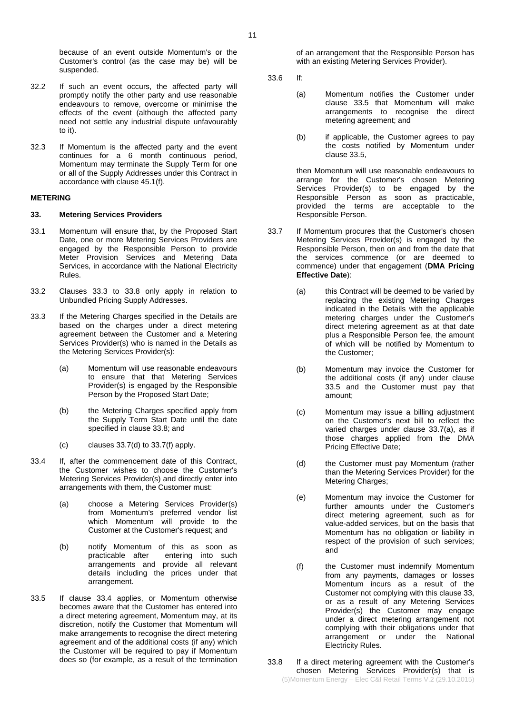because of an event outside Momentum's or the Customer's control (as the case may be) will be suspended.

- 32.2 If such an event occurs, the affected party will promptly notify the other party and use reasonable endeavours to remove, overcome or minimise the effects of the event (although the affected party need not settle any industrial dispute unfavourably to it).
- 32.3 If Momentum is the affected party and the event continues for a 6 month continuous period, Momentum may terminate the Supply Term for one or all of the Supply Addresses under this Contract in accordance with clause [45.1\(f\).](#page-14-1)

#### **METERING**

#### <span id="page-10-7"></span>**33. Metering Services Providers**

- 33.1 Momentum will ensure that, by the Proposed Start Date, one or more Metering Services Providers are engaged by the Responsible Person to provide Meter Provision Services and Metering Data Services, in accordance with the National Electricity Rules.
- 33.2 Clauses [33.3](#page-10-0) to [33.8](#page-10-1) only apply in relation to Unbundled Pricing Supply Addresses.
- <span id="page-10-0"></span>33.3 If the Metering Charges specified in the Details are based on the charges under a direct metering agreement between the Customer and a Metering Services Provider(s) who is named in the Details as the Metering Services Provider(s):
	- (a) Momentum will use reasonable endeavours to ensure that that Metering Services Provider(s) is engaged by the Responsible Person by the Proposed Start Date;
	- (b) the Metering Charges specified apply from the Supply Term Start Date until the date specified in clause [33.8;](#page-10-1) and
	- $(c)$  clauses [33.7\(d\)](#page-10-2) to [33.7\(f\)](#page-10-3) apply.
- <span id="page-10-4"></span>33.4 If, after the commencement date of this Contract, the Customer wishes to choose the Customer's Metering Services Provider(s) and directly enter into arrangements with them, the Customer must:
	- (a) choose a Metering Services Provider(s) from Momentum's preferred vendor list which Momentum will provide to the Customer at the Customer's request; and
	- (b) notify Momentum of this as soon as entering into such arrangements and provide all relevant details including the prices under that arrangement.
- 33.5 If clause [33.4](#page-10-4) applies, or Momentum otherwise becomes aware that the Customer has entered into a direct metering agreement, Momentum may, at its discretion, notify the Customer that Momentum will make arrangements to recognise the direct metering agreement and of the additional costs (if any) which the Customer will be required to pay if Momentum does so (for example, as a result of the termination

of an arrangement that the Responsible Person has with an existing Metering Services Provider).

- 33.6 If:
	- (a) Momentum notifies the Customer under clause [33.5](#page-10-5) that Momentum will make arrangements to recognise the direct metering agreement; and
	- (b) if applicable, the Customer agrees to pay the costs notified by Momentum under clause [33.5,](#page-10-5)

then Momentum will use reasonable endeavours to arrange for the Customer's chosen Metering Services Provider(s) to be engaged by the Responsible Person as soon as practicable, provided the terms are acceptable to the Responsible Person.

- <span id="page-10-8"></span><span id="page-10-6"></span>33.7 If Momentum procures that the Customer's chosen Metering Services Provider(s) is engaged by the Responsible Person, then on and from the date that the services commence (or are deemed to commence) under that engagement (**DMA Pricing Effective Date**):
	- (a) this Contract will be deemed to be varied by replacing the existing Metering Charges indicated in the Details with the applicable metering charges under the Customer's direct metering agreement as at that date plus a Responsible Person fee, the amount of which will be notified by Momentum to the Customer;
	- (b) Momentum may invoice the Customer for the additional costs (if any) under clause [33.5](#page-10-5) and the Customer must pay that amount;
	- (c) Momentum may issue a billing adjustment on the Customer's next bill to reflect the varied charges under clause [33.7\(a\),](#page-10-6) as if those charges applied from the DMA Pricing Effective Date;
	- (d) the Customer must pay Momentum (rather than the Metering Services Provider) for the Metering Charges;
	- (e) Momentum may invoice the Customer for further amounts under the Customer's direct metering agreement, such as for value-added services, but on the basis that Momentum has no obligation or liability in respect of the provision of such services; and
	- (f) the Customer must indemnify Momentum from any payments, damages or losses Momentum incurs as a result of the Customer not complying with this clause [33,](#page-10-7) or as a result of any Metering Services Provider(s) the Customer may engage under a direct metering arrangement not complying with their obligations under that arrangement or under the National Electricity Rules.
- <span id="page-10-5"></span><span id="page-10-3"></span><span id="page-10-2"></span><span id="page-10-1"></span>(5)Momentum Energy – Elec C&I Retail Terms V.2 (29.10.2015) 33.8 If a direct metering agreement with the Customer's chosen Metering Services Provider(s) that is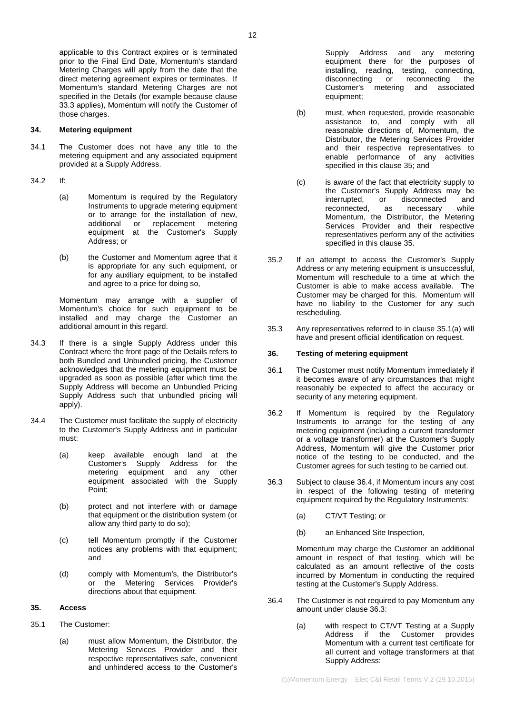applicable to this Contract expires or is terminated prior to the Final End Date, Momentum's standard Metering Charges will apply from the date that the direct metering agreement expires or terminates. If Momentum's standard Metering Charges are not specified in the Details (for example because clause [33.3](#page-10-0) applies), Momentum will notify the Customer of those charges.

### **34. Metering equipment**

- 34.1 The Customer does not have any title to the metering equipment and any associated equipment provided at a Supply Address.
- <span id="page-11-0"></span>34.2 If:
	- (a) Momentum is required by the Regulatory Instruments to upgrade metering equipment or to arrange for the installation of new, additional or replacement metering equipment at the Customer's Supply Address; or
	- (b) the Customer and Momentum agree that it is appropriate for any such equipment, or for any auxiliary equipment, to be installed and agree to a price for doing so,

Momentum may arrange with a supplier of Momentum's choice for such equipment to be installed and may charge the Customer an additional amount in this regard.

- 34.3 If there is a single Supply Address under this Contract where the front page of the Details refers to both Bundled and Unbundled pricing, the Customer acknowledges that the metering equipment must be upgraded as soon as possible (after which time the Supply Address will become an Unbundled Pricing Supply Address such that unbundled pricing will apply).
- 34.4 The Customer must facilitate the supply of electricity to the Customer's Supply Address and in particular must:
	- (a) keep available enough land at the Customer's Supply Address for the metering equipment and any other equipment associated with the Supply Point;
	- (b) protect and not interfere with or damage that equipment or the distribution system (or allow any third party to do so);
	- (c) tell Momentum promptly if the Customer notices any problems with that equipment; and
	- (d) comply with Momentum's, the Distributor's or the Metering Services Provider's directions about that equipment.

## <span id="page-11-2"></span>**35. Access**

- <span id="page-11-3"></span>35.1 The Customer:
	- (a) must allow Momentum, the Distributor, the Metering Services Provider and their respective representatives safe, convenient and unhindered access to the Customer's

Supply Address and any metering equipment there for the purposes of installing, reading, testing, connecting,<br>disconnecting or reconnecting the disconnecting or Customer's metering and associated equipment;

- (b) must, when requested, provide reasonable assistance to, and comply with all reasonable directions of, Momentum, the Distributor, the Metering Services Provider and their respective representatives to enable performance of any activities specified in this clause [35;](#page-11-2) and
- (c) is aware of the fact that electricity supply to the Customer's Supply Address may be<br>interrupted, or disconnected and disconnected reconnected, as necessary while Momentum, the Distributor, the Metering Services Provider and their respective representatives perform any of the activities specified in this clause [35.](#page-11-2)
- 35.2 If an attempt to access the Customer's Supply Address or any metering equipment is unsuccessful, Momentum will reschedule to a time at which the Customer is able to make access available. The Customer may be charged for this. Momentum will have no liability to the Customer for any such rescheduling.
- 35.3 Any representatives referred to in clause [35.1\(a\)](#page-11-3) will have and present official identification on request.

## **36. Testing of metering equipment**

- 36.1 The Customer must notify Momentum immediately if it becomes aware of any circumstances that might reasonably be expected to affect the accuracy or security of any metering equipment.
- 36.2 If Momentum is required by the Regulatory Instruments to arrange for the testing of any metering equipment (including a current transformer or a voltage transformer) at the Customer's Supply Address, Momentum will give the Customer prior notice of the testing to be conducted, and the Customer agrees for such testing to be carried out.
- <span id="page-11-1"></span>36.3 Subject to clause [36.4,](#page-11-4) if Momentum incurs any cost in respect of the following testing of metering equipment required by the Regulatory Instruments:
	- (a) CT/VT Testing; or
	- (b) an Enhanced Site Inspection,

Momentum may charge the Customer an additional amount in respect of that testing, which will be calculated as an amount reflective of the costs incurred by Momentum in conducting the required testing at the Customer's Supply Address.

- <span id="page-11-4"></span>36.4 The Customer is not required to pay Momentum any amount under clause [36.3:](#page-11-1)
	- (a) with respect to CT/VT Testing at a Supply Address if the Customer provides Momentum with a current test certificate for all current and voltage transformers at that Supply Address: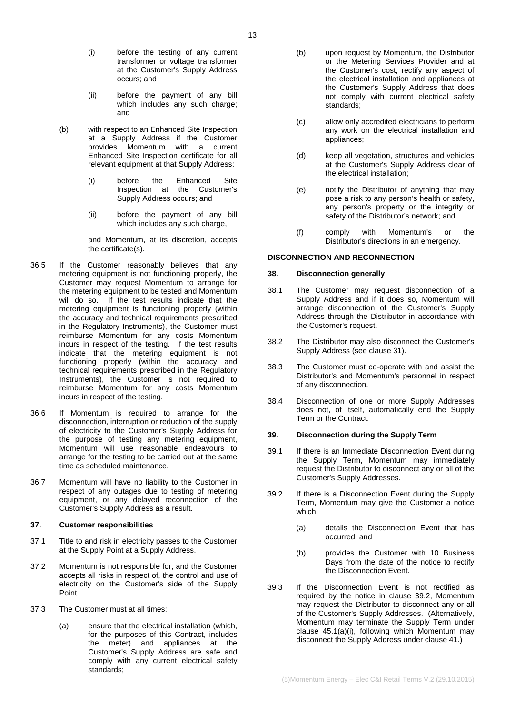- (i) before the testing of any current transformer or voltage transformer at the Customer's Supply Address occurs; and
- (ii) before the payment of any bill which includes any such charge; and
- (b) with respect to an Enhanced Site Inspection at a Supply Address if the Customer provides Momentum with a current Enhanced Site Inspection certificate for all relevant equipment at that Supply Address:
	- (i) before the Enhanced Site Inspection at the Customer's Supply Address occurs; and
	- (ii) before the payment of any bill which includes any such charge,

and Momentum, at its discretion, accepts the certificate(s).

- 36.5 If the Customer reasonably believes that any metering equipment is not functioning properly, the Customer may request Momentum to arrange for the metering equipment to be tested and Momentum will do so. If the test results indicate that the metering equipment is functioning properly (within the accuracy and technical requirements prescribed in the Regulatory Instruments), the Customer must reimburse Momentum for any costs Momentum incurs in respect of the testing. If the test results indicate that the metering equipment is not functioning properly (within the accuracy and technical requirements prescribed in the Regulatory Instruments), the Customer is not required to reimburse Momentum for any costs Momentum incurs in respect of the testing.
- 36.6 If Momentum is required to arrange for the disconnection, interruption or reduction of the supply of electricity to the Customer's Supply Address for the purpose of testing any metering equipment, Momentum will use reasonable endeavours to arrange for the testing to be carried out at the same time as scheduled maintenance.
- 36.7 Momentum will have no liability to the Customer in respect of any outages due to testing of metering equipment, or any delayed reconnection of the Customer's Supply Address as a result.

## **37. Customer responsibilities**

- 37.1 Title to and risk in electricity passes to the Customer at the Supply Point at a Supply Address.
- 37.2 Momentum is not responsible for, and the Customer accepts all risks in respect of, the control and use of electricity on the Customer's side of the Supply Point.
- 37.3 The Customer must at all times:
	- (a) ensure that the electrical installation (which, for the purposes of this Contract, includes the meter) and appliances at the Customer's Supply Address are safe and comply with any current electrical safety standards;
- (b) upon request by Momentum, the Distributor or the Metering Services Provider and at the Customer's cost, rectify any aspect of the electrical installation and appliances at the Customer's Supply Address that does not comply with current electrical safety standards;
- (c) allow only accredited electricians to perform any work on the electrical installation and appliances;
- (d) keep all vegetation, structures and vehicles at the Customer's Supply Address clear of the electrical installation;
- (e) notify the Distributor of anything that may pose a risk to any person's health or safety, any person's property or the integrity or safety of the Distributor's network; and
- (f) comply with Momentum's or the Distributor's directions in an emergency.

## **DISCONNECTION AND RECONNECTION**

## **38. Disconnection generally**

- 38.1 The Customer may request disconnection of a Supply Address and if it does so, Momentum will arrange disconnection of the Customer's Supply Address through the Distributor in accordance with the Customer's request.
- 38.2 The Distributor may also disconnect the Customer's Supply Address (see claus[e 31\)](#page-9-7).
- 38.3 The Customer must co-operate with and assist the Distributor's and Momentum's personnel in respect of any disconnection.
- 38.4 Disconnection of one or more Supply Addresses does not, of itself, automatically end the Supply Term or the Contract.

#### <span id="page-12-0"></span>**39. Disconnection during the Supply Term**

- 39.1 If there is an Immediate Disconnection Event during the Supply Term, Momentum may immediately request the Distributor to disconnect any or all of the Customer's Supply Addresses.
- <span id="page-12-1"></span>39.2 If there is a Disconnection Event during the Supply Term, Momentum may give the Customer a notice which:
	- (a) details the Disconnection Event that has occurred; and
	- (b) provides the Customer with 10 Business Days from the date of the notice to rectify the Disconnection Event.
- 39.3 If the Disconnection Event is not rectified as required by the notice in clause [39.2,](#page-12-1) Momentum may request the Distributor to disconnect any or all of the Customer's Supply Addresses. (Alternatively, Momentum may terminate the Supply Term under clause [45.1\(a\)\(i\),](#page-13-2) following which Momentum may disconnect the Supply Address under clause [41.](#page-13-3))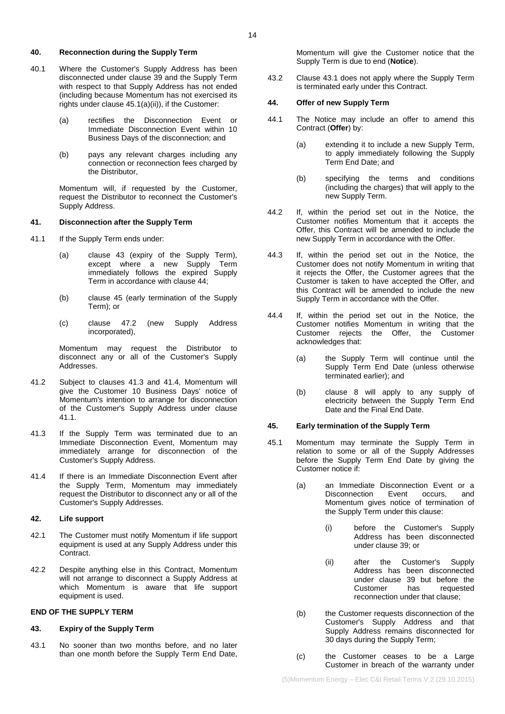#### **40. Reconnection during the Supply Term**

- 40.1 Where the Customer's Supply Address has been disconnected under clause [39](#page-12-0) and the Supply Term with respect to that Supply Address has not ended (including because Momentum has not exercised its rights under claus[e 45.1\(a\)\(ii\)\)](#page-13-4), if the Customer:
	- (a) rectifies the Disconnection Event or Immediate Disconnection Event within 10 Business Days of the disconnection; and
	- (b) pays any relevant charges including any connection or reconnection fees charged by the Distributor,

Momentum will, if requested by the Customer, request the Distributor to reconnect the Customer's Supply Address.

### <span id="page-13-3"></span>**41. Disconnection after the Supply Term**

- <span id="page-13-9"></span>41.1 If the Supply Term ends under:
	- (a) clause [43](#page-13-5) (expiry of the Supply Term), except where a new Supply Term immediately follows the expired Supply Term in accordance with clause [44;](#page-13-6)
	- (b) clause [45](#page-13-1) (early termination of the Supply Term); or
	- (c) clause [47.2](#page-15-1) (new Supply Address incorporated),

Momentum may request the Distributor to disconnect any or all of the Customer's Supply Addresses.

- 41.2 Subject to clauses [41.3](#page-13-7) and [41.4,](#page-13-8) Momentum will give the Customer 10 Business Days' notice of Momentum's intention to arrange for disconnection of the Customer's Supply Address under clause [41.1.](#page-13-9)
- <span id="page-13-7"></span>41.3 If the Supply Term was terminated due to an Immediate Disconnection Event, Momentum may immediately arrange for disconnection of the Customer's Supply Address.
- <span id="page-13-8"></span>41.4 If there is an Immediate Disconnection Event after the Supply Term, Momentum may immediately request the Distributor to disconnect any or all of the Customer's Supply Addresses.

### **42. Life support**

- 42.1 The Customer must notify Momentum if life support equipment is used at any Supply Address under this Contract.
- 42.2 Despite anything else in this Contract, Momentum will not arrange to disconnect a Supply Address at which Momentum is aware that life support equipment is used.

### **END OF THE SUPPLY TERM**

### <span id="page-13-5"></span>**43. Expiry of the Supply Term**

<span id="page-13-10"></span>43.1 No sooner than two months before, and no later than one month before the Supply Term End Date, Momentum will give the Customer notice that the Supply Term is due to end (**Notice**).

43.2 Clause [43.1](#page-13-10) does not apply where the Supply Term is terminated early under this Contract.

#### <span id="page-13-6"></span>**44. Offer of new Supply Term**

- 44.1 The Notice may include an offer to amend this Contract (**Offer**) by:
	- (a) extending it to include a new Supply Term, to apply immediately following the Supply Term End Date; and
	- (b) specifying the terms and conditions (including the charges) that will apply to the new Supply Term.
- 44.2 If, within the period set out in the Notice, the Customer notifies Momentum that it accepts the Offer, this Contract will be amended to include the new Supply Term in accordance with the Offer.
- 44.3 If, within the period set out in the Notice, the Customer does not notify Momentum in writing that it rejects the Offer, the Customer agrees that the Customer is taken to have accepted the Offer, and this Contract will be amended to include the new Supply Term in accordance with the Offer.
- 44.4 If, within the period set out in the Notice, the Customer notifies Momentum in writing that the Customer rejects the Offer, the Customer acknowledges that:
	- (a) the Supply Term will continue until the Supply Term End Date (unless otherwise terminated earlier); and
	- (b) clause [8](#page-1-1) will apply to any supply of electricity between the Supply Term End Date and the Final End Date.

#### <span id="page-13-1"></span>**45. Early termination of the Supply Term**

- <span id="page-13-4"></span><span id="page-13-2"></span><span id="page-13-0"></span>45.1 Momentum may terminate the Supply Term in relation to some or all of the Supply Addresses before the Supply Term End Date by giving the Customer notice if:
	- (a) an Immediate Disconnection Event or a Disconnection Event occurs, and Momentum gives notice of termination of the Supply Term under this clause:
		- (i) before the Customer's Supply Address has been disconnected under claus[e 39;](#page-12-0) or
		- (ii) after the Customer's Supply Address has been disconnected under clause [39](#page-12-0) but before the<br>Customer has requested requested reconnection under that clause;
	- (b) the Customer requests disconnection of the Customer's Supply Address and that Supply Address remains disconnected for 30 days during the Supply Term;
	- (c) the Customer ceases to be a Large Customer in breach of the warranty under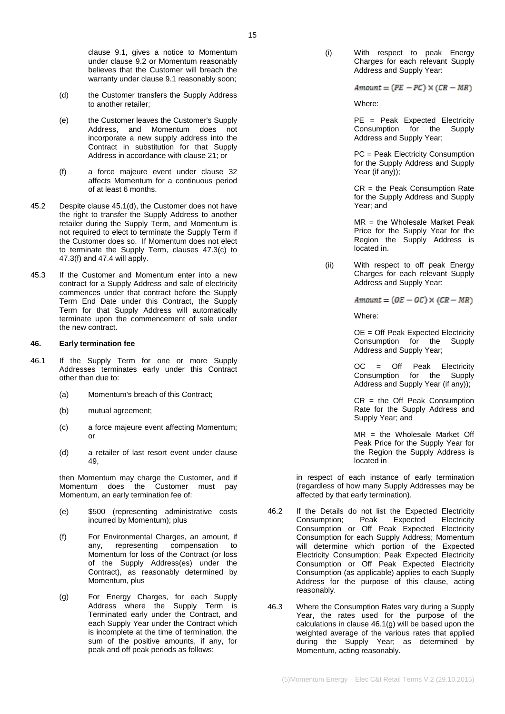clause [9.1,](#page-2-1) gives a notice to Momentum under clause [9.2](#page-2-4) or Momentum reasonably believes that the Customer will breach the warranty under clause [9.1](#page-2-1) reasonably soon;

- <span id="page-14-2"></span>(d) the Customer transfers the Supply Address to another retailer;
- (e) the Customer leaves the Customer's Supply Address, and Momentum does not incorporate a new supply address into the Contract in substitution for that Supply Address in accordance with clause [21;](#page-7-2) or
- <span id="page-14-1"></span>(f) a force majeure event under clause [32](#page-9-0) affects Momentum for a continuous period of at least 6 months.
- 45.2 Despite clause [45.1\(d\),](#page-14-2) the Customer does not have the right to transfer the Supply Address to another retailer during the Supply Term, and Momentum is not required to elect to terminate the Supply Term if the Customer does so. If Momentum does not elect to terminate the Supply Term, clauses [47.3\(c\)](#page-15-2) to [47.3\(f\)](#page-15-3) and [47.4](#page-15-4) will apply.
- 45.3 If the Customer and Momentum enter into a new contract for a Supply Address and sale of electricity commences under that contract before the Supply Term End Date under this Contract, the Supply Term for that Supply Address will automatically terminate upon the commencement of sale under the new contract.

#### <span id="page-14-0"></span>**46. Early termination fee**

- 46.1 If the Supply Term for one or more Supply Addresses terminates early under this Contract other than due to:
	- (a) Momentum's breach of this Contract;
	- (b) mutual agreement;
	- (c) a force majeure event affecting Momentum; or
	- (d) a retailer of last resort event under clause [49,](#page-15-5)

then Momentum may charge the Customer, and if Momentum does the Customer must pay Momentum, an early termination fee of:

- (e) \$500 (representing administrative costs incurred by Momentum); plus
- (f) For Environmental Charges, an amount, if any, representing compensation to Momentum for loss of the Contract (or loss of the Supply Address(es) under the Contract), as reasonably determined by Momentum, plus
- <span id="page-14-3"></span>(g) For Energy Charges, for each Supply Address where the Supply Term is Terminated early under the Contract, and each Supply Year under the Contract which is incomplete at the time of termination, the sum of the positive amounts, if any, for peak and off peak periods as follows:

(i) With respect to peak Energy Charges for each relevant Supply Address and Supply Year:

 $Amount = (PE - PC) \times (CR - MR)$ 

Where:

PE = Peak Expected Electricity<br>Consumption for the Supply Consumption for the Address and Supply Year;

PC = Peak Electricity Consumption for the Supply Address and Supply Year (if any));

CR = the Peak Consumption Rate for the Supply Address and Supply Year; and

MR = the Wholesale Market Peak Price for the Supply Year for the Region the Supply Address is located in.

(ii) With respect to off peak Energy Charges for each relevant Supply Address and Supply Year:

 $Amount = (OE - OC) \times (CR - MR)$ 

Where:

OE = Off Peak Expected Electricity Consumption for the Supply Address and Supply Year;

OC = Off Peak Electricity Consumption for the Supply Address and Supply Year (if any));

CR = the Off Peak Consumption Rate for the Supply Address and Supply Year; and

MR = the Wholesale Market Off Peak Price for the Supply Year for the Region the Supply Address is located in

in respect of each instance of early termination (regardless of how many Supply Addresses may be affected by that early termination).

- 46.2 If the Details do not list the Expected Electricity<br>Consumption; Peak Expected Electricity Consumption; Consumption or Off Peak Expected Electricity Consumption for each Supply Address; Momentum will determine which portion of the Expected Electricity Consumption; Peak Expected Electricity Consumption or Off Peak Expected Electricity Consumption (as applicable) applies to each Supply Address for the purpose of this clause, acting reasonably.
- 46.3 Where the Consumption Rates vary during a Supply Year, the rates used for the purpose of the calculations in clause [46.1\(g\)](#page-14-3) will be based upon the weighted average of the various rates that applied during the Supply Year; as determined by Momentum, acting reasonably.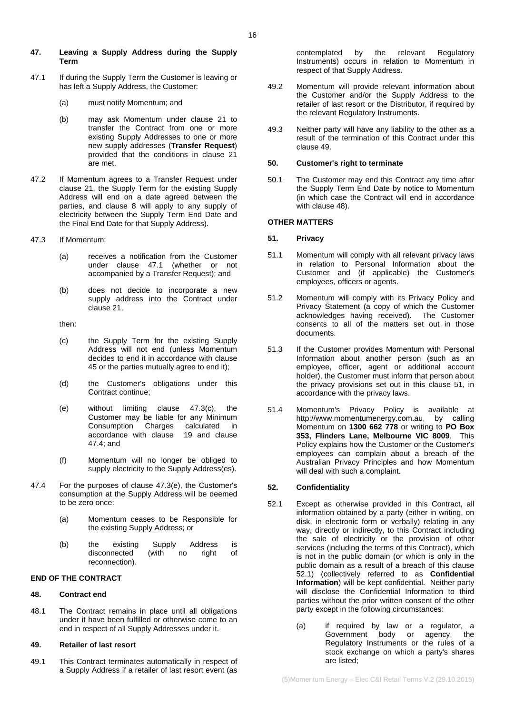### <span id="page-15-0"></span>**47. Leaving a Supply Address during the Supply Term**

- <span id="page-15-6"></span>47.1 If during the Supply Term the Customer is leaving or has left a Supply Address, the Customer:
	- (a) must notify Momentum; and
	- (b) may ask Momentum under clause [21](#page-7-2) to transfer the Contract from one or more existing Supply Addresses to one or more new supply addresses (**Transfer Request**) provided that the conditions in clause [21](#page-7-2) are met.
- <span id="page-15-1"></span>47.2 If Momentum agrees to a Transfer Request under clause [21,](#page-7-2) the Supply Term for the existing Supply Address will end on a date agreed between the parties, and clause [8](#page-1-1) will apply to any supply of electricity between the Supply Term End Date and the Final End Date for that Supply Address).
- 47.3 If Momentum:
	- (a) receives a notification from the Customer under clause [47.1](#page-15-6) (whether or not accompanied by a Transfer Request); and
	- (b) does not decide to incorporate a new supply address into the Contract under claus[e 21,](#page-7-2)

then:

- <span id="page-15-2"></span>(c) the Supply Term for the existing Supply Address will not end (unless Momentum decides to end it in accordance with clause [45](#page-13-1) or the parties mutually agree to end it);
- (d) the Customer's obligations under this Contract continue;
- <span id="page-15-7"></span>(e) without limiting clause [47.3\(c\),](#page-15-2) the Customer may be liable for any Minimum<br>Consumption Charges calculated in Consumption Charges calculated accordance with clause [19](#page-6-0) and clause [47.4;](#page-15-4) and
- (f) Momentum will no longer be obliged to supply electricity to the Supply Address(es).
- <span id="page-15-4"></span><span id="page-15-3"></span>47.4 For the purposes of clause [47.3\(e\),](#page-15-7) the Customer's consumption at the Supply Address will be deemed to be zero once:
	- (a) Momentum ceases to be Responsible for the existing Supply Address; or
	- (b) the existing Supply Address is  $disconnected$  (with no reconnection).

### **END OF THE CONTRACT**

### <span id="page-15-8"></span>**48. Contract end**

48.1 The Contract remains in place until all obligations under it have been fulfilled or otherwise come to an end in respect of all Supply Addresses under it.

### <span id="page-15-5"></span>**49. Retailer of last resort**

49.1 This Contract terminates automatically in respect of a Supply Address if a retailer of last resort event (as contemplated by the relevant Regulatory Instruments) occurs in relation to Momentum in respect of that Supply Address.

- 49.2 Momentum will provide relevant information about the Customer and/or the Supply Address to the retailer of last resort or the Distributor, if required by the relevant Regulatory Instruments.
- 49.3 Neither party will have any liability to the other as a result of the termination of this Contract under this clause [49.](#page-15-5)

## **50. Customer's right to terminate**

50.1 The Customer may end this Contract any time after the Supply Term End Date by notice to Momentum (in which case the Contract will end in accordance with claus[e 48\)](#page-15-8).

## **OTHER MATTERS**

## <span id="page-15-9"></span>**51. Privacy**

- 51.1 Momentum will comply with all relevant privacy laws in relation to Personal Information about the Customer and (if applicable) the Customer's employees, officers or agents.
- 51.2 Momentum will comply with its Privacy Policy and Privacy Statement (a copy of which the Customer acknowledges having received). The Customer consents to all of the matters set out in those documents.
- 51.3 If the Customer provides Momentum with Personal Information about another person (such as an employee, officer, agent or additional account holder), the Customer must inform that person about the privacy provisions set out in this clause [51,](#page-15-9) in accordance with the privacy laws.
- 51.4 Momentum's Privacy Policy is available at http://www.momentumenergy.com.au, by calling Momentum on **1300 662 778** or writing to **PO Box 353, Flinders Lane, Melbourne VIC 8009**. This Policy explains how the Customer or the Customer's employees can complain about a breach of the Australian Privacy Principles and how Momentum will deal with such a complaint.

## **52. Confidentiality**

- <span id="page-15-10"></span>52.1 Except as otherwise provided in this Contract, all information obtained by a party (either in writing, on disk, in electronic form or verbally) relating in any way, directly or indirectly, to this Contract including the sale of electricity or the provision of other services (including the terms of this Contract), which is not in the public domain (or which is only in the public domain as a result of a breach of this clause [52.1\)](#page-15-10) (collectively referred to as **Confidential Information**) will be kept confidential. Neither party will disclose the Confidential Information to third parties without the prior written consent of the other party except in the following circumstances:
	- (a) if required by law or a regulator, a Government body or agency, the Regulatory Instruments or the rules of a stock exchange on which a party's shares are listed;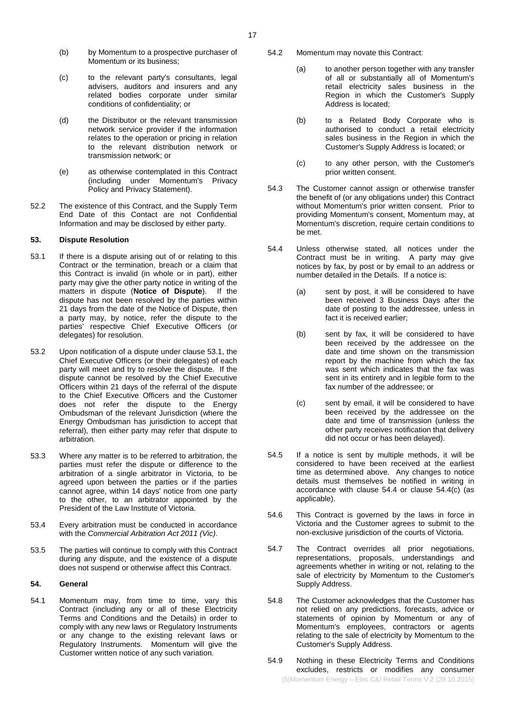- (b) by Momentum to a prospective purchaser of Momentum or its business;
- (c) to the relevant party's consultants, legal advisers, auditors and insurers and any related bodies corporate under similar conditions of confidentiality; or
- (d) the Distributor or the relevant transmission network service provider if the information relates to the operation or pricing in relation to the relevant distribution network or transmission network; or
- (e) as otherwise contemplated in this Contract (including under Momentum's Privacy Policy and Privacy Statement).
- 52.2 The existence of this Contract, and the Supply Term End Date of this Contact are not Confidential Information and may be disclosed by either party.

## <span id="page-16-0"></span>**53. Dispute Resolution**

- <span id="page-16-1"></span>53.1 If there is a dispute arising out of or relating to this Contract or the termination, breach or a claim that this Contract is invalid (in whole or in part), either party may give the other party notice in writing of the matters in dispute (**Notice of Dispute**). If the dispute has not been resolved by the parties within 21 days from the date of the Notice of Dispute, then a party may, by notice, refer the dispute to the parties' respective Chief Executive Officers (or delegates) for resolution.
- 53.2 Upon notification of a dispute under clause [53.1,](#page-16-1) the Chief Executive Officers (or their delegates) of each party will meet and try to resolve the dispute. If the dispute cannot be resolved by the Chief Executive Officers within 21 days of the referral of the dispute to the Chief Executive Officers and the Customer does not refer the dispute to the Energy Ombudsman of the relevant Jurisdiction (where the Energy Ombudsman has jurisdiction to accept that referral), then either party may refer that dispute to arbitration.
- 53.3 Where any matter is to be referred to arbitration, the parties must refer the dispute or difference to the arbitration of a single arbitrator in Victoria, to be agreed upon between the parties or if the parties cannot agree, within 14 days' notice from one party to the other, to an arbitrator appointed by the President of the Law Institute of Victoria.
- 53.4 Every arbitration must be conducted in accordance with the *Commercial Arbitration Act 2011 (Vic)*.
- 53.5 The parties will continue to comply with this Contract during any dispute, and the existence of a dispute does not suspend or otherwise affect this Contract.

## **54. General**

54.1 Momentum may, from time to time, vary this Contract (including any or all of these Electricity Terms and Conditions and the Details) in order to comply with any new laws or Regulatory Instruments or any change to the existing relevant laws or Regulatory Instruments. Momentum will give the Customer written notice of any such variation.

- 54.2 Momentum may novate this Contract:
	- (a) to another person together with any transfer of all or substantially all of Momentum's retail electricity sales business in the Region in which the Customer's Supply Address is located;
	- (b) to a Related Body Corporate who is authorised to conduct a retail electricity sales business in the Region in which the Customer's Supply Address is located; or
	- (c) to any other person, with the Customer's prior written consent.
- 54.3 The Customer cannot assign or otherwise transfer the benefit of (or any obligations under) this Contract without Momentum's prior written consent. Prior to providing Momentum's consent, Momentum may, at Momentum's discretion, require certain conditions to be met.
- <span id="page-16-2"></span>54.4 Unless otherwise stated, all notices under the Contract must be in writing. A party may give notices by fax, by post or by email to an address or number detailed in the Details. If a notice is:
	- (a) sent by post, it will be considered to have been received 3 Business Days after the date of posting to the addressee, unless in fact it is received earlier;
	- (b) sent by fax, it will be considered to have been received by the addressee on the date and time shown on the transmission report by the machine from which the fax was sent which indicates that the fax was sent in its entirety and in legible form to the fax number of the addressee; or
	- (c) sent by email, it will be considered to have been received by the addressee on the date and time of transmission (unless the other party receives notification that delivery did not occur or has been delayed).
- <span id="page-16-3"></span>54.5 If a notice is sent by multiple methods, it will be considered to have been received at the earliest time as determined above. Any changes to notice details must themselves be notified in writing in accordance with clause [54.4](#page-16-2) or clause [54.4\(c\)](#page-16-3) (as applicable).
- 54.6 This Contract is governed by the laws in force in Victoria and the Customer agrees to submit to the non-exclusive jurisdiction of the courts of Victoria.
- 54.7 The Contract overrides all prior negotiations, representations, proposals, understandings and agreements whether in writing or not, relating to the sale of electricity by Momentum to the Customer's Supply Address.
- 54.8 The Customer acknowledges that the Customer has not relied on any predictions, forecasts, advice or statements of opinion by Momentum or any of Momentum's employees, contractors or agents relating to the sale of electricity by Momentum to the Customer's Supply Address.
- <span id="page-16-4"></span>54.9 Nothing in these Electricity Terms and Conditions excludes, restricts or modifies any consumer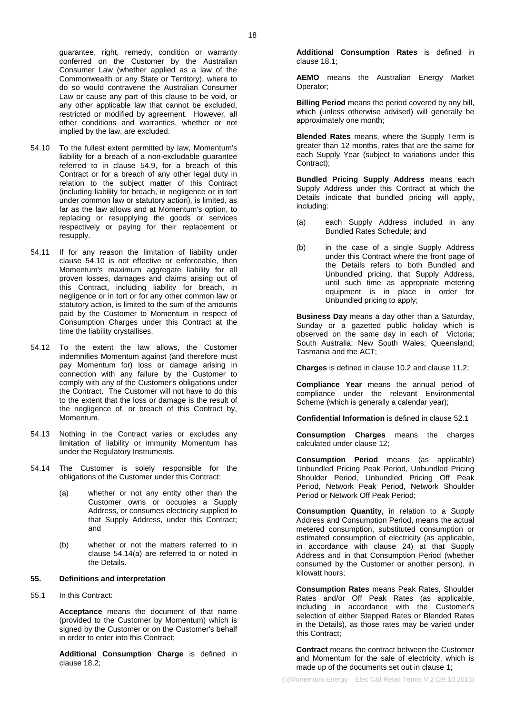guarantee, right, remedy, condition or warranty conferred on the Customer by the Australian Consumer Law (whether applied as a law of the Commonwealth or any State or Territory), where to do so would contravene the Australian Consumer Law or cause any part of this clause to be void, or any other applicable law that cannot be excluded, restricted or modified by agreement. However, all other conditions and warranties, whether or not implied by the law, are excluded.

- <span id="page-17-0"></span>54.10 To the fullest extent permitted by law, Momentum's liability for a breach of a non-excludable guarantee referred to in clause [54.9,](#page-16-4) for a breach of this Contract or for a breach of any other legal duty in relation to the subject matter of this Contract (including liability for breach, in negligence or in tort under common law or statutory action), is limited, as far as the law allows and at Momentum's option, to replacing or resupplying the goods or services respectively or paying for their replacement or resupply.
- 54.11 If for any reason the limitation of liability under clause [54.10](#page-17-0) is not effective or enforceable, then Momentum's maximum aggregate liability for all proven losses, damages and claims arising out of this Contract, including liability for breach, in negligence or in tort or for any other common law or statutory action, is limited to the sum of the amounts paid by the Customer to Momentum in respect of Consumption Charges under this Contract at the time the liability crystallises.
- 54.12 To the extent the law allows, the Customer indemnifies Momentum against (and therefore must pay Momentum for) loss or damage arising in connection with any failure by the Customer to comply with any of the Customer's obligations under the Contract. The Customer will not have to do this to the extent that the loss or damage is the result of the negligence of, or breach of this Contract by, Momentum.
- 54.13 Nothing in the Contract varies or excludes any limitation of liability or immunity Momentum has under the Regulatory Instruments.
- <span id="page-17-1"></span>54.14 The Customer is solely responsible for the obligations of the Customer under this Contract:
	- (a) whether or not any entity other than the Customer owns or occupies a Supply Address, or consumes electricity supplied to that Supply Address, under this Contract; and
	- (b) whether or not the matters referred to in clause [54.14\(a\)](#page-17-1) are referred to or noted in the Details.

#### **55. Definitions and interpretation**

55.1 In this Contract:

**Acceptance** means the document of that name (provided to the Customer by Momentum) which is signed by the Customer or on the Customer's behalf in order to enter into this Contract;

**Additional Consumption Charge** is defined in clause [18.2;](#page-5-5)

**Additional Consumption Rates** is defined in clause [18.1;](#page-5-7)

**AEMO** means the Australian Energy Market Operator;

**Billing Period** means the period covered by any bill, which (unless otherwise advised) will generally be approximately one month;

**Blended Rates** means, where the Supply Term is greater than 12 months, rates that are the same for each Supply Year (subject to variations under this Contract);

**Bundled Pricing Supply Address** means each Supply Address under this Contract at which the Details indicate that bundled pricing will apply, including:

- (a) each Supply Address included in any Bundled Rates Schedule; and
- (b) in the case of a single Supply Address under this Contract where the front page of the Details refers to both Bundled and Unbundled pricing, that Supply Address, until such time as appropriate metering equipment is in place in order for Unbundled pricing to apply;

**Business Day** means a day other than a Saturday, Sunday or a gazetted public holiday which is observed on the same day in each of Victoria; South Australia; New South Wales; Queensland; Tasmania and the ACT;

**Charges** is defined in clause [10.2](#page-2-5) and clause [11.2;](#page-2-6)

**Compliance Year** means the annual period of compliance under the relevant Environmental Scheme (which is generally a calendar year);

**Confidential Information** is defined in clause [52.1](#page-15-10)

**Consumption Charges** means the charges calculated under claus[e 12;](#page-3-2)

**Consumption Period** means (as applicable) Unbundled Pricing Peak Period, Unbundled Pricing Shoulder Period, Unbundled Pricing Off Peak Period, Network Peak Period, Network Shoulder Period or Network Off Peak Period;

**Consumption Quantity**, in relation to a Supply Address and Consumption Period, means the actual metered consumption, substituted consumption or estimated consumption of electricity (as applicable, in accordance with clause [24\)](#page-7-3) at that Supply Address and in that Consumption Period (whether consumed by the Customer or another person), in kilowatt hours;

**Consumption Rates** means Peak Rates, Shoulder Rates and/or Off Peak Rates (as applicable, including in accordance with the Customer's selection of either Stepped Rates or Blended Rates in the Details), as those rates may be varied under this Contract;

**Contract** means the contract between the Customer and Momentum for the sale of electricity, which is made up of the documents set out in clause [1;](#page-0-0)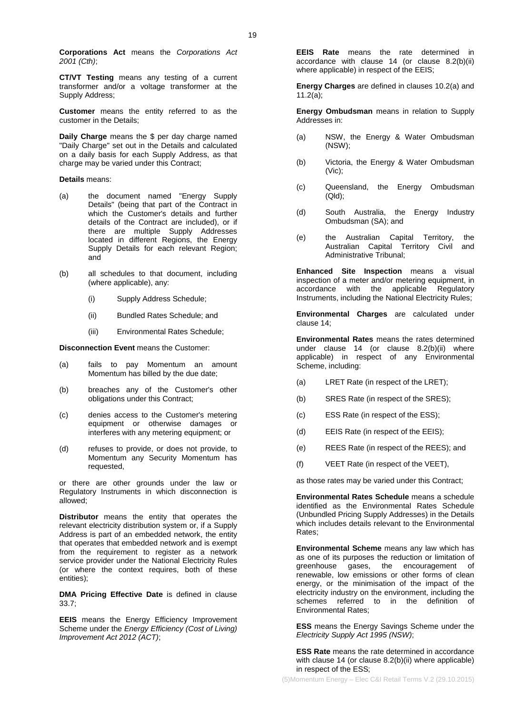**Corporations Act** means the *Corporations Act 2001 (Cth)*;

**CT/VT Testing** means any testing of a current transformer and/or a voltage transformer at the Supply Address;

**Customer** means the entity referred to as the customer in the Details;

**Daily Charge** means the \$ per day charge named "Daily Charge" set out in the Details and calculated on a daily basis for each Supply Address, as that charge may be varied under this Contract;

#### **Details** means:

- (a) the document named "Energy Supply Details" (being that part of the Contract in which the Customer's details and further details of the Contract are included), or if there are multiple Supply Addresses located in different Regions, the Energy Supply Details for each relevant Region; and
- (b) all schedules to that document, including (where applicable), any:
	- (i) Supply Address Schedule;
	- (ii) Bundled Rates Schedule; and
	- (iii) Environmental Rates Schedule;

**Disconnection Event** means the Customer:

- (a) fails to pay Momentum an amount Momentum has billed by the due date;
- (b) breaches any of the Customer's other obligations under this Contract;
- (c) denies access to the Customer's metering equipment or otherwise damages or interferes with any metering equipment; or
- (d) refuses to provide, or does not provide, to Momentum any Security Momentum has requested,

or there are other grounds under the law or Regulatory Instruments in which disconnection is allowed;

**Distributor** means the entity that operates the relevant electricity distribution system or, if a Supply Address is part of an embedded network, the entity that operates that embedded network and is exempt from the requirement to register as a network service provider under the National Electricity Rules (or where the context requires, both of these entities);

**DMA Pricing Effective Date** is defined in clause [33.7;](#page-10-8)

**EEIS** means the Energy Efficiency Improvement Scheme under the *Energy Efficiency (Cost of Living) Improvement Act 2012 (ACT)*;

**EEIS Rate** means the rate determined in accordance with clause [14](#page-4-2) (or clause [8.2\(b\)\(ii\)](#page-2-7) where applicable) in respect of the EEIS;

**Energy Charges** are defined in clauses [10.2\(a\)](#page-2-8) and [11.2\(a\);](#page-2-9)

**Energy Ombudsman** means in relation to Supply Addresses in:

- (a) NSW, the Energy & Water Ombudsman (NSW);
- (b) Victoria, the Energy & Water Ombudsman (Vic);
- (c) Queensland, the Energy Ombudsman (Qld);
- (d) South Australia, the Energy Industry Ombudsman (SA); and
- (e) the Australian Capital Territory, the Australian Capital Territory Civil and Administrative Tribunal;

**Enhanced Site Inspection** means a visual inspection of a meter and/or metering equipment, in accordance with the applicable Regulatory Instruments, including the National Electricity Rules;

**Environmental Charges** are calculated under clause [14;](#page-4-2)

**Environmental Rates** means the rates determined under clause [14](#page-4-2) (or clause [8.2\(b\)\(ii\)](#page-2-7) where applicable) in respect of any Environmental Scheme, including:

- (a) LRET Rate (in respect of the LRET);
- (b) SRES Rate (in respect of the SRES);
- (c) ESS Rate (in respect of the ESS);
- (d) EEIS Rate (in respect of the EEIS);
- (e) REES Rate (in respect of the REES); and
- (f) VEET Rate (in respect of the VEET),

as those rates may be varied under this Contract;

**Environmental Rates Schedule** means a schedule identified as the Environmental Rates Schedule (Unbundled Pricing Supply Addresses) in the Details which includes details relevant to the Environmental Rates;

**Environmental Scheme** means any law which has as one of its purposes the reduction or limitation of greenhouse gases, the encouragement of renewable, low emissions or other forms of clean energy, or the minimisation of the impact of the electricity industry on the environment, including the schemes referred to in the definition of Environmental Rates;

**ESS** means the Energy Savings Scheme under the *Electricity Supply Act 1995 (NSW)*;

**ESS Rate** means the rate determined in accordance with clause [14](#page-4-2) (or clause [8.2\(b\)\(ii\)](#page-2-7) where applicable) in respect of the ESS;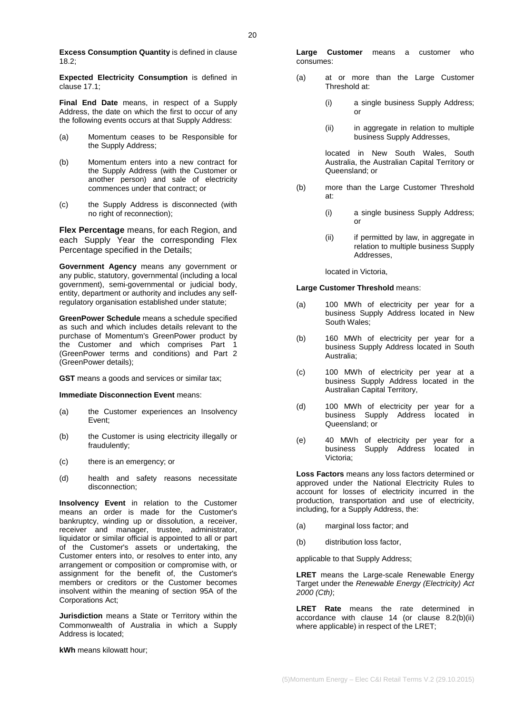**Excess Consumption Quantity** is defined in clause [18.2;](#page-5-5)

**Expected Electricity Consumption** is defined in claus[e 17.1;](#page-5-8)

**Final End Date** means, in respect of a Supply Address, the date on which the first to occur of any the following events occurs at that Supply Address:

- (a) Momentum ceases to be Responsible for the Supply Address;
- (b) Momentum enters into a new contract for the Supply Address (with the Customer or another person) and sale of electricity commences under that contract; or
- (c) the Supply Address is disconnected (with no right of reconnection);

**Flex Percentage** means, for each Region, and each Supply Year the corresponding Flex Percentage specified in the Details;

**Government Agency** means any government or any public, statutory, governmental (including a local government), semi-governmental or judicial body, entity, department or authority and includes any selfregulatory organisation established under statute;

**GreenPower Schedule** means a schedule specified as such and which includes details relevant to the purchase of Momentum's GreenPower product by the Customer and which comprises Part 1 (GreenPower terms and conditions) and Part 2 (GreenPower details);

**GST** means a goods and services or similar tax;

**Immediate Disconnection Event** means:

- (a) the Customer experiences an Insolvency Event;
- (b) the Customer is using electricity illegally or fraudulently;
- (c) there is an emergency; or
- (d) health and safety reasons necessitate disconnection;

**Insolvency Event** in relation to the Customer means an order is made for the Customer's bankruptcy, winding up or dissolution, a receiver, receiver and manager, trustee, administrator, liquidator or similar official is appointed to all or part of the Customer's assets or undertaking, the Customer enters into, or resolves to enter into, any arrangement or composition or compromise with, or assignment for the benefit of, the Customer's members or creditors or the Customer becomes insolvent within the meaning of section 95A of the Corporations Act;

**Jurisdiction** means a State or Territory within the Commonwealth of Australia in which a Supply Address is located;

**kWh** means kilowatt hour;

**Large Customer** means a customer who consumes:

- (a) at or more than the Large Customer Threshold at:
	- (i) a single business Supply Address; or
	- (ii) in aggregate in relation to multiple business Supply Addresses,

located in New South Wales, South Australia, the Australian Capital Territory or Queensland; or

- (b) more than the Large Customer Threshold at:
	- (i) a single business Supply Address; or
	- (ii) if permitted by law, in aggregate in relation to multiple business Supply Addresses,

located in Victoria,

#### **Large Customer Threshold** means:

- (a) 100 MWh of electricity per year for a business Supply Address located in New South Wales;
- (b) 160 MWh of electricity per year for a business Supply Address located in South Australia;
- (c) 100 MWh of electricity per year at a business Supply Address located in the Australian Capital Territory,
- (d) 100 MWh of electricity per year for a business Supply Address located in Queensland; or
- (e) 40 MWh of electricity per year for a business Supply Address located in Victoria;

**Loss Factors** means any loss factors determined or approved under the National Electricity Rules to account for losses of electricity incurred in the production, transportation and use of electricity, including, for a Supply Address, the:

- (a) marginal loss factor; and
- (b) distribution loss factor,

applicable to that Supply Address;

**LRET** means the Large-scale Renewable Energy Target under the *Renewable Energy (Electricity) Act 2000 (Cth)*;

**LRET Rate** means the rate determined in accordance with clause [14](#page-4-2) (or clause [8.2\(b\)\(ii\)](#page-2-7) where applicable) in respect of the LRET;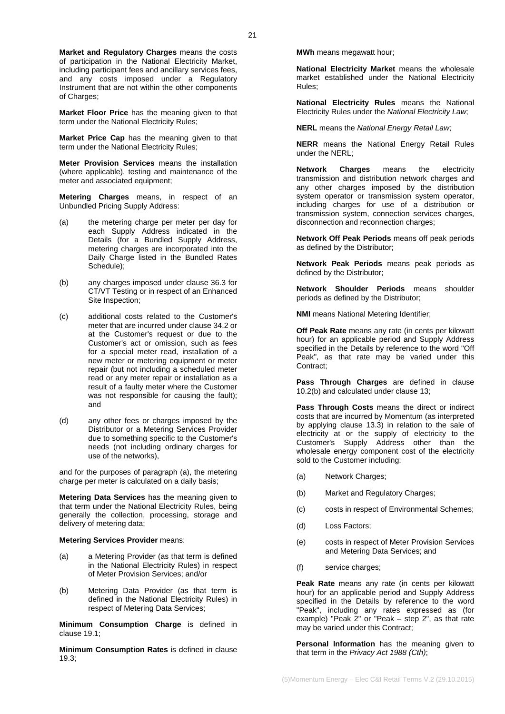**Market and Regulatory Charges** means the costs of participation in the National Electricity Market, including participant fees and ancillary services fees, and any costs imposed under a Regulatory Instrument that are not within the other components of Charges;

**Market Floor Price** has the meaning given to that term under the National Electricity Rules;

**Market Price Cap** has the meaning given to that term under the National Electricity Rules;

**Meter Provision Services** means the installation (where applicable), testing and maintenance of the meter and associated equipment;

**Metering Charges** means, in respect of an Unbundled Pricing Supply Address:

- (a) the metering charge per meter per day for each Supply Address indicated in the Details (for a Bundled Supply Address, metering charges are incorporated into the Daily Charge listed in the Bundled Rates Schedule);
- (b) any charges imposed under clause [36.3](#page-11-1) for CT/VT Testing or in respect of an Enhanced Site Inspection;
- (c) additional costs related to the Customer's meter that are incurred under claus[e 34.2](#page-11-0) or at the Customer's request or due to the Customer's act or omission, such as fees for a special meter read, installation of a new meter or metering equipment or meter repair (but not including a scheduled meter read or any meter repair or installation as a result of a faulty meter where the Customer was not responsible for causing the fault); and
- (d) any other fees or charges imposed by the Distributor or a Metering Services Provider due to something specific to the Customer's needs (not including ordinary charges for use of the networks),

and for the purposes of paragraph (a), the metering charge per meter is calculated on a daily basis;

**Metering Data Services** has the meaning given to that term under the National Electricity Rules, being generally the collection, processing, storage and delivery of metering data;

#### **Metering Services Provider** means:

- (a) a Metering Provider (as that term is defined in the National Electricity Rules) in respect of Meter Provision Services; and/or
- (b) Metering Data Provider (as that term is defined in the National Electricity Rules) in respect of Metering Data Services;

**Minimum Consumption Charge** is defined in clause [19.1;](#page-6-4)

**Minimum Consumption Rates** is defined in clause [19.3;](#page-6-8)

**MWh** means megawatt hour;

**National Electricity Market** means the wholesale market established under the National Electricity Rules;

**National Electricity Rules** means the National Electricity Rules under the *National Electricity Law*;

**NERL** means the *National Energy Retail Law*;

**NERR** means the National Energy Retail Rules under the NERL;

**Network Charges** means the electricity transmission and distribution network charges and any other charges imposed by the distribution system operator or transmission system operator, including charges for use of a distribution or transmission system, connection services charges, disconnection and reconnection charges;

**Network Off Peak Periods** means off peak periods as defined by the Distributor;

**Network Peak Periods** means peak periods as defined by the Distributor;

**Network Shoulder Periods** means shoulder periods as defined by the Distributor;

**NMI** means National Metering Identifier;

**Off Peak Rate** means any rate (in cents per kilowatt hour) for an applicable period and Supply Address specified in the Details by reference to the word "Off Peak", as that rate may be varied under this Contract;

**Pass Through Charges** are defined in clause [10.2\(b\)](#page-2-10) and calculated under clause [13;](#page-4-0)

**Pass Through Costs** means the direct or indirect costs that are incurred by Momentum (as interpreted by applying clause [13.3\)](#page-4-4) in relation to the sale of electricity at or the supply of electricity to the Customer's Supply Address other than the wholesale energy component cost of the electricity sold to the Customer including:

- (a) Network Charges;
- (b) Market and Regulatory Charges;
- (c) costs in respect of Environmental Schemes;
- (d) Loss Factors;
- (e) costs in respect of Meter Provision Services and Metering Data Services; and
- (f) service charges;

**Peak Rate** means any rate (in cents per kilowatt hour) for an applicable period and Supply Address specified in the Details by reference to the word "Peak", including any rates expressed as (for example) "Peak 2" or "Peak – step 2", as that rate may be varied under this Contract;

**Personal Information** has the meaning given to that term in the *Privacy Act 1988 (Cth)*;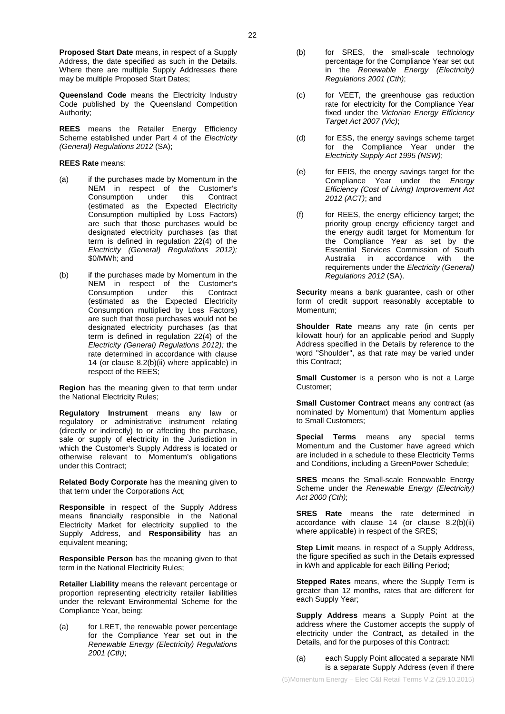**Queensland Code** means the Electricity Industry Code published by the Queensland Competition Authority;

**REES** means the Retailer Energy Efficiency Scheme established under Part 4 of the *Electricity (General) Regulations 2012* (SA);

### **REES Rate** means:

- (a) if the purchases made by Momentum in the NEM in respect of the Customer's<br>Consumption under this Contract Consumption (estimated as the Expected Electricity Consumption multiplied by Loss Factors) are such that those purchases would be designated electricity purchases (as that term is defined in regulation 22(4) of the *Electricity (General) Regulations 2012);*  \$0/MWh; and
- (b) if the purchases made by Momentum in the NEM in respect of the Customer's<br>Consumption under this Contract Consumption (estimated as the Expected Electricity Consumption multiplied by Loss Factors) are such that those purchases would not be designated electricity purchases (as that term is defined in regulation 22(4) of the *Electricity (General) Regulations 2012);* the rate determined in accordance with clause [14](#page-4-2) (or clause [8.2\(b\)\(ii\)](#page-2-7) where applicable) in respect of the REES;

**Region** has the meaning given to that term under the National Electricity Rules;

**Regulatory Instrument** means any law or regulatory or administrative instrument relating (directly or indirectly) to or affecting the purchase, sale or supply of electricity in the Jurisdiction in which the Customer's Supply Address is located or otherwise relevant to Momentum's obligations under this Contract;

**Related Body Corporate** has the meaning given to that term under the Corporations Act;

**Responsible** in respect of the Supply Address means financially responsible in the National Electricity Market for electricity supplied to the Supply Address, and **Responsibility** has an equivalent meaning;

**Responsible Person** has the meaning given to that term in the National Electricity Rules;

**Retailer Liability** means the relevant percentage or proportion representing electricity retailer liabilities under the relevant Environmental Scheme for the Compliance Year, being:

(a) for LRET, the renewable power percentage for the Compliance Year set out in the *Renewable Energy (Electricity) Regulations 2001 (Cth)*;

- (b) for SRES, the small-scale technology percentage for the Compliance Year set out in the *Renewable Energy (Electricity) Regulations 2001 (Cth)*;
- (c) for VEET, the greenhouse gas reduction rate for electricity for the Compliance Year fixed under the *Victorian Energy Efficiency Target Act 2007 (Vic)*;
- (d) for ESS, the energy savings scheme target for the Compliance Year under the *Electricity Supply Act 1995 (NSW)*;
- (e) for EEIS, the energy savings target for the Compliance Year under the *Energy Efficiency (Cost of Living) Improvement Act 2012 (ACT)*; and
- (f) for REES, the energy efficiency target; the priority group energy efficiency target and the energy audit target for Momentum for the Compliance Year as set by the Essential Services Commission of South<br>Australia in accordance with the in accordance with the requirements under the *Electricity (General) Regulations 2012* (SA).

**Security** means a bank guarantee, cash or other form of credit support reasonably acceptable to Momentum;

**Shoulder Rate** means any rate (in cents per kilowatt hour) for an applicable period and Supply Address specified in the Details by reference to the word "Shoulder", as that rate may be varied under this Contract;

**Small Customer** is a person who is not a Large Customer;

**Small Customer Contract** means any contract (as nominated by Momentum) that Momentum applies to Small Customers;

**Special Terms** means any special terms Momentum and the Customer have agreed which are included in a schedule to these Electricity Terms and Conditions, including a GreenPower Schedule;

**SRES** means the Small-scale Renewable Energy Scheme under the *Renewable Energy (Electricity) Act 2000 (Cth)*;

**SRES Rate** means the rate determined in accordance with clause [14](#page-4-2) (or clause [8.2\(b\)\(ii\)](#page-2-7) where applicable) in respect of the SRES;

**Step Limit** means, in respect of a Supply Address, the figure specified as such in the Details expressed in kWh and applicable for each Billing Period;

**Stepped Rates** means, where the Supply Term is greater than 12 months, rates that are different for each Supply Year;

**Supply Address** means a Supply Point at the address where the Customer accepts the supply of electricity under the Contract, as detailed in the Details, and for the purposes of this Contract:

(a) each Supply Point allocated a separate NMI is a separate Supply Address (even if there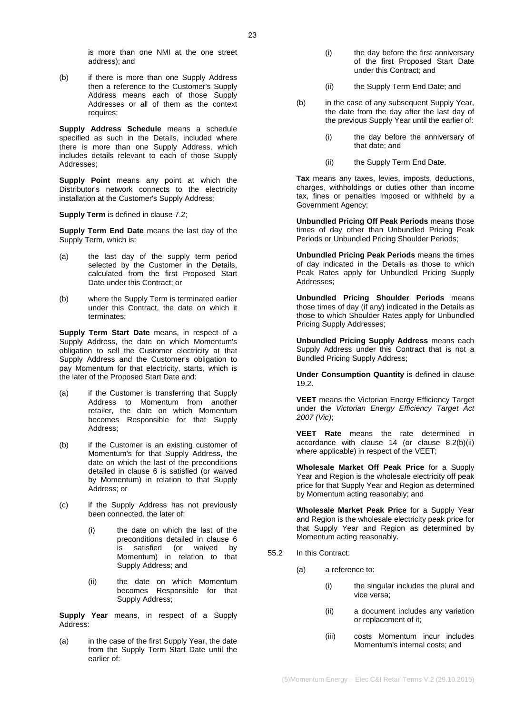(b) if there is more than one Supply Address then a reference to the Customer's Supply Address means each of those Supply Addresses or all of them as the context requires;

**Supply Address Schedule** means a schedule specified as such in the Details, included where there is more than one Supply Address, which includes details relevant to each of those Supply Addresses;

**Supply Point** means any point at which the Distributor's network connects to the electricity installation at the Customer's Supply Address;

**Supply Term** is defined in clause [7.2;](#page-1-5)

**Supply Term End Date** means the last day of the Supply Term, which is:

- (a) the last day of the supply term period selected by the Customer in the Details, calculated from the first Proposed Start Date under this Contract; or
- (b) where the Supply Term is terminated earlier under this Contract, the date on which it terminates;

**Supply Term Start Date** means, in respect of a Supply Address, the date on which Momentum's obligation to sell the Customer electricity at that Supply Address and the Customer's obligation to pay Momentum for that electricity, starts, which is the later of the Proposed Start Date and:

- (a) if the Customer is transferring that Supply Address to Momentum from another retailer, the date on which Momentum becomes Responsible for that Supply Address;
- (b) if the Customer is an existing customer of Momentum's for that Supply Address, the date on which the last of the preconditions detailed in clause [6](#page-1-0) is satisfied (or waived by Momentum) in relation to that Supply Address; or
- (c) if the Supply Address has not previously been connected, the later of:
	- (i) the date on which the last of the preconditions detailed in clause [6](#page-1-0)<br>is satisfied (or waived by satisfied (or waived by Momentum) in relation to that Supply Address; and
	- (ii) the date on which Momentum becomes Responsible for that Supply Address;

**Supply Year** means, in respect of a Supply Address:

(a) in the case of the first Supply Year, the date from the Supply Term Start Date until the earlier of:

- (i) the day before the first anniversary of the first Proposed Start Date under this Contract; and
- (ii) the Supply Term End Date; and
- (b) in the case of any subsequent Supply Year, the date from the day after the last day of the previous Supply Year until the earlier of:
	- (i) the day before the anniversary of that date; and
	- (ii) the Supply Term End Date.

**Tax** means any taxes, levies, imposts, deductions, charges, withholdings or duties other than income tax, fines or penalties imposed or withheld by a Government Agency;

**Unbundled Pricing Off Peak Periods** means those times of day other than Unbundled Pricing Peak Periods or Unbundled Pricing Shoulder Periods;

**Unbundled Pricing Peak Periods** means the times of day indicated in the Details as those to which Peak Rates apply for Unbundled Pricing Supply Addresses;

**Unbundled Pricing Shoulder Periods** means those times of day (if any) indicated in the Details as those to which Shoulder Rates apply for Unbundled Pricing Supply Addresses;

**Unbundled Pricing Supply Address** means each Supply Address under this Contract that is not a Bundled Pricing Supply Address;

**Under Consumption Quantity** is defined in clause [19.2.](#page-6-5)

**VEET** means the Victorian Energy Efficiency Target under the *Victorian Energy Efficiency Target Act 2007 (Vic)*;

**VEET Rate** means the rate determined in accordance with clause [14](#page-4-2) (or clause [8.2\(b\)\(ii\)](#page-2-7) where applicable) in respect of the VEET;

**Wholesale Market Off Peak Price** for a Supply Year and Region is the wholesale electricity off peak price for that Supply Year and Region as determined by Momentum acting reasonably; and

**Wholesale Market Peak Price** for a Supply Year and Region is the wholesale electricity peak price for that Supply Year and Region as determined by Momentum acting reasonably.

- 55.2 In this Contract:
	- (a) a reference to:
		- (i) the singular includes the plural and vice versa;
		- (ii) a document includes any variation or replacement of it;
		- (iii) costs Momentum incur includes Momentum's internal costs; and